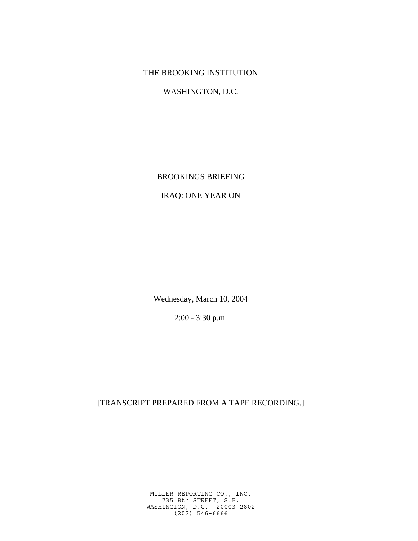## THE BROOKING INSTITUTION

WASHINGTON, D.C.

BROOKINGS BRIEFING

## IRAQ: ONE YEAR ON

Wednesday, March 10, 2004

2:00 - 3:30 p.m.

[TRANSCRIPT PREPARED FROM A TAPE RECORDING.]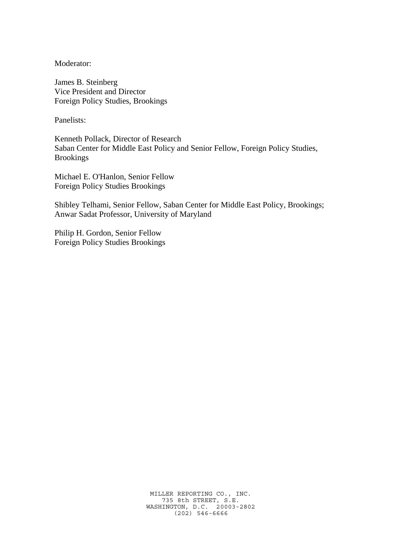Moderator:

James B. Steinberg Vice President and Director Foreign Policy Studies, Brookings

Panelists:

Kenneth Pollack, Director of Research Saban Center for Middle East Policy and Senior Fellow, Foreign Policy Studies, Brookings

Michael E. O'Hanlon, Senior Fellow Foreign Policy Studies Brookings

Shibley Telhami, Senior Fellow, Saban Center for Middle East Policy, Brookings; Anwar Sadat Professor, University of Maryland

Philip H. Gordon, Senior Fellow Foreign Policy Studies Brookings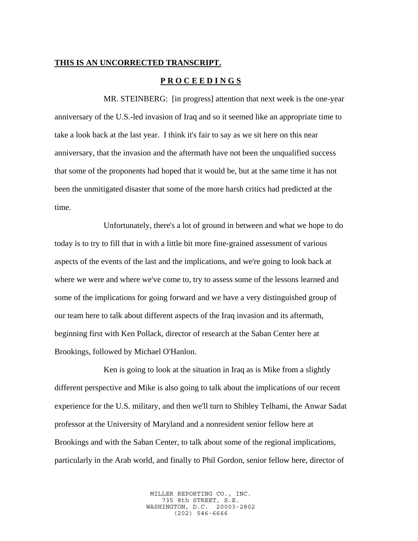## **THIS IS AN UNCORRECTED TRANSCRIPT.**

## **P R O C E E D I N G S**

MR. STEINBERG: [in progress] attention that next week is the one-year anniversary of the U.S.-led invasion of Iraq and so it seemed like an appropriate time to take a look back at the last year. I think it's fair to say as we sit here on this near anniversary, that the invasion and the aftermath have not been the unqualified success that some of the proponents had hoped that it would be, but at the same time it has not been the unmitigated disaster that some of the more harsh critics had predicted at the time.

Unfortunately, there's a lot of ground in between and what we hope to do today is to try to fill that in with a little bit more fine-grained assessment of various aspects of the events of the last and the implications, and we're going to look back at where we were and where we've come to, try to assess some of the lessons learned and some of the implications for going forward and we have a very distinguished group of our team here to talk about different aspects of the Iraq invasion and its aftermath, beginning first with Ken Pollack, director of research at the Saban Center here at Brookings, followed by Michael O'Hanlon.

Ken is going to look at the situation in Iraq as is Mike from a slightly different perspective and Mike is also going to talk about the implications of our recent experience for the U.S. military, and then we'll turn to Shibley Telhami, the Anwar Sadat professor at the University of Maryland and a nonresident senior fellow here at Brookings and with the Saban Center, to talk about some of the regional implications, particularly in the Arab world, and finally to Phil Gordon, senior fellow here, director of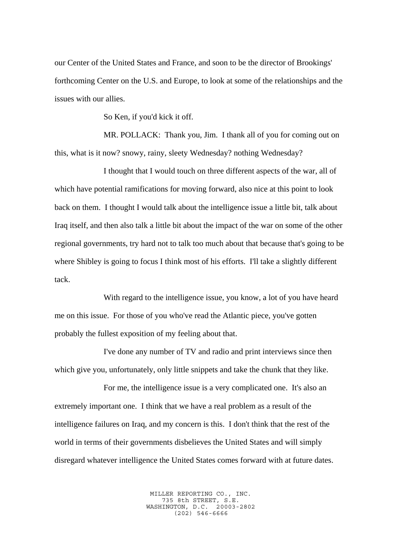our Center of the United States and France, and soon to be the director of Brookings' forthcoming Center on the U.S. and Europe, to look at some of the relationships and the issues with our allies.

So Ken, if you'd kick it off.

MR. POLLACK: Thank you, Jim. I thank all of you for coming out on this, what is it now? snowy, rainy, sleety Wednesday? nothing Wednesday?

I thought that I would touch on three different aspects of the war, all of which have potential ramifications for moving forward, also nice at this point to look back on them. I thought I would talk about the intelligence issue a little bit, talk about Iraq itself, and then also talk a little bit about the impact of the war on some of the other regional governments, try hard not to talk too much about that because that's going to be where Shibley is going to focus I think most of his efforts. I'll take a slightly different tack.

With regard to the intelligence issue, you know, a lot of you have heard me on this issue. For those of you who've read the Atlantic piece, you've gotten probably the fullest exposition of my feeling about that.

I've done any number of TV and radio and print interviews since then which give you, unfortunately, only little snippets and take the chunk that they like.

For me, the intelligence issue is a very complicated one. It's also an extremely important one. I think that we have a real problem as a result of the intelligence failures on Iraq, and my concern is this. I don't think that the rest of the world in terms of their governments disbelieves the United States and will simply disregard whatever intelligence the United States comes forward with at future dates.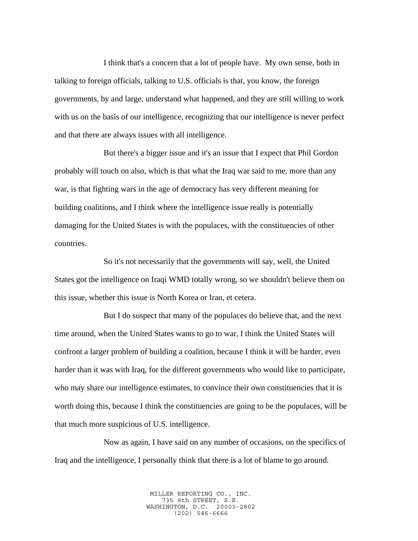I think that's a concern that a lot of people have. My own sense, both in talking to foreign officials, talking to U.S. officials is that, you know, the foreign governments, by and large, understand what happened, and they are still willing to work with us on the basis of our intelligence, recognizing that our intelligence is never perfect and that there are always issues with all intelligence.

But there's a bigger issue and it's an issue that I expect that Phil Gordon probably will touch on also, which is that what the Iraq war said to me, more than any war, is that fighting wars in the age of democracy has very different meaning for building coalitions, and I think where the intelligence issue really is potentially damaging for the United States is with the populaces, with the constituencies of other countries.

So it's not necessarily that the governments will say, well, the United States got the intelligence on Iraqi WMD totally wrong, so we shouldn't believe them on this issue, whether this issue is North Korea or Iran, et cetera.

But I do suspect that many of the populaces do believe that, and the next time around, when the United States wants to go to war, I think the United States will confront a larger problem of building a coalition, because I think it will be harder, even harder than it was with Iraq, for the different governments who would like to participate, who may share our intelligence estimates, to convince their own constituencies that it is worth doing this, because I think the constituencies are going to be the populaces, will be that much more suspicious of U.S. intelligence.

Now as again, I have said on any number of occasions, on the specifics of Iraq and the intelligence, I personally think that there is a lot of blame to go around.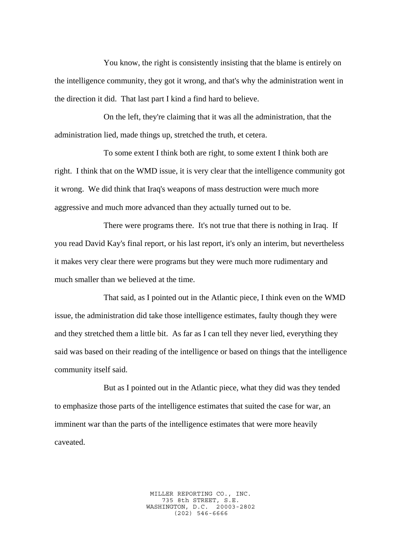You know, the right is consistently insisting that the blame is entirely on the intelligence community, they got it wrong, and that's why the administration went in the direction it did. That last part I kind a find hard to believe.

On the left, they're claiming that it was all the administration, that the administration lied, made things up, stretched the truth, et cetera.

To some extent I think both are right, to some extent I think both are right. I think that on the WMD issue, it is very clear that the intelligence community got it wrong. We did think that Iraq's weapons of mass destruction were much more aggressive and much more advanced than they actually turned out to be.

There were programs there. It's not true that there is nothing in Iraq. If you read David Kay's final report, or his last report, it's only an interim, but nevertheless it makes very clear there were programs but they were much more rudimentary and much smaller than we believed at the time.

That said, as I pointed out in the Atlantic piece, I think even on the WMD issue, the administration did take those intelligence estimates, faulty though they were and they stretched them a little bit. As far as I can tell they never lied, everything they said was based on their reading of the intelligence or based on things that the intelligence community itself said.

But as I pointed out in the Atlantic piece, what they did was they tended to emphasize those parts of the intelligence estimates that suited the case for war, an imminent war than the parts of the intelligence estimates that were more heavily caveated.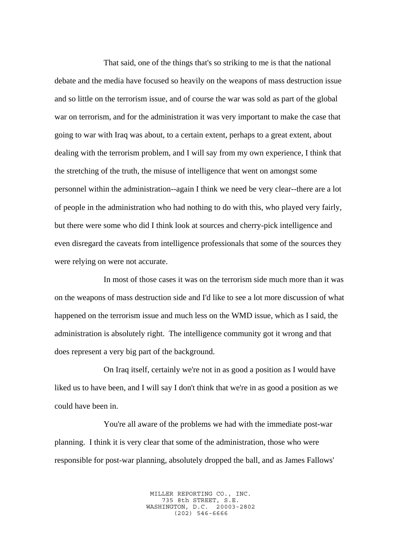That said, one of the things that's so striking to me is that the national debate and the media have focused so heavily on the weapons of mass destruction issue and so little on the terrorism issue, and of course the war was sold as part of the global war on terrorism, and for the administration it was very important to make the case that going to war with Iraq was about, to a certain extent, perhaps to a great extent, about dealing with the terrorism problem, and I will say from my own experience, I think that the stretching of the truth, the misuse of intelligence that went on amongst some personnel within the administration--again I think we need be very clear--there are a lot of people in the administration who had nothing to do with this, who played very fairly, but there were some who did I think look at sources and cherry-pick intelligence and even disregard the caveats from intelligence professionals that some of the sources they were relying on were not accurate.

In most of those cases it was on the terrorism side much more than it was on the weapons of mass destruction side and I'd like to see a lot more discussion of what happened on the terrorism issue and much less on the WMD issue, which as I said, the administration is absolutely right. The intelligence community got it wrong and that does represent a very big part of the background.

On Iraq itself, certainly we're not in as good a position as I would have liked us to have been, and I will say I don't think that we're in as good a position as we could have been in.

You're all aware of the problems we had with the immediate post-war planning. I think it is very clear that some of the administration, those who were responsible for post-war planning, absolutely dropped the ball, and as James Fallows'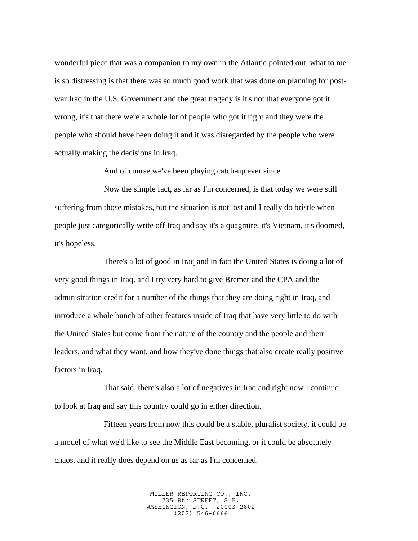wonderful piece that was a companion to my own in the Atlantic pointed out, what to me is so distressing is that there was so much good work that was done on planning for postwar Iraq in the U.S. Government and the great tragedy is it's not that everyone got it wrong, it's that there were a whole lot of people who got it right and they were the people who should have been doing it and it was disregarded by the people who were actually making the decisions in Iraq.

And of course we've been playing catch-up ever since.

Now the simple fact, as far as I'm concerned, is that today we were still suffering from those mistakes, but the situation is not lost and I really do bristle when people just categorically write off Iraq and say it's a quagmire, it's Vietnam, it's doomed, it's hopeless.

There's a lot of good in Iraq and in fact the United States is doing a lot of very good things in Iraq, and I try very hard to give Bremer and the CPA and the administration credit for a number of the things that they are doing right in Iraq, and introduce a whole bunch of other features inside of Iraq that have very little to do with the United States but come from the nature of the country and the people and their leaders, and what they want, and how they've done things that also create really positive factors in Iraq.

That said, there's also a lot of negatives in Iraq and right now I continue to look at Iraq and say this country could go in either direction.

Fifteen years from now this could be a stable, pluralist society, it could be a model of what we'd like to see the Middle East becoming, or it could be absolutely chaos, and it really does depend on us as far as I'm concerned.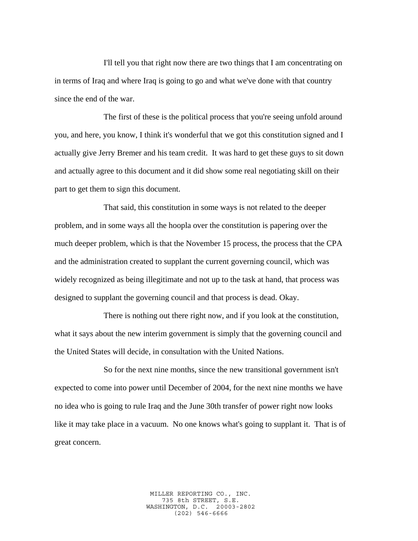I'll tell you that right now there are two things that I am concentrating on in terms of Iraq and where Iraq is going to go and what we've done with that country since the end of the war.

The first of these is the political process that you're seeing unfold around you, and here, you know, I think it's wonderful that we got this constitution signed and I actually give Jerry Bremer and his team credit. It was hard to get these guys to sit down and actually agree to this document and it did show some real negotiating skill on their part to get them to sign this document.

That said, this constitution in some ways is not related to the deeper problem, and in some ways all the hoopla over the constitution is papering over the much deeper problem, which is that the November 15 process, the process that the CPA and the administration created to supplant the current governing council, which was widely recognized as being illegitimate and not up to the task at hand, that process was designed to supplant the governing council and that process is dead. Okay.

There is nothing out there right now, and if you look at the constitution, what it says about the new interim government is simply that the governing council and the United States will decide, in consultation with the United Nations.

So for the next nine months, since the new transitional government isn't expected to come into power until December of 2004, for the next nine months we have no idea who is going to rule Iraq and the June 30th transfer of power right now looks like it may take place in a vacuum. No one knows what's going to supplant it. That is of great concern.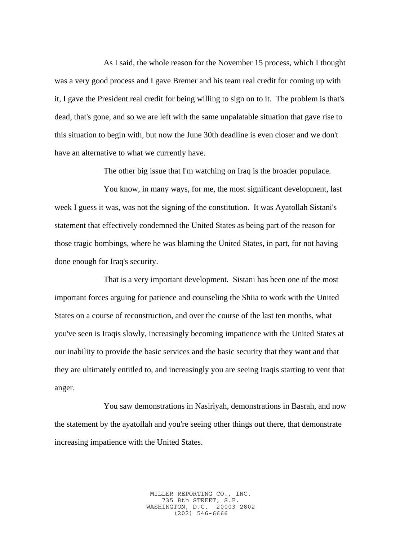As I said, the whole reason for the November 15 process, which I thought was a very good process and I gave Bremer and his team real credit for coming up with it, I gave the President real credit for being willing to sign on to it. The problem is that's dead, that's gone, and so we are left with the same unpalatable situation that gave rise to this situation to begin with, but now the June 30th deadline is even closer and we don't have an alternative to what we currently have.

The other big issue that I'm watching on Iraq is the broader populace.

You know, in many ways, for me, the most significant development, last week I guess it was, was not the signing of the constitution. It was Ayatollah Sistani's statement that effectively condemned the United States as being part of the reason for those tragic bombings, where he was blaming the United States, in part, for not having done enough for Iraq's security.

That is a very important development. Sistani has been one of the most important forces arguing for patience and counseling the Shiia to work with the United States on a course of reconstruction, and over the course of the last ten months, what you've seen is Iraqis slowly, increasingly becoming impatience with the United States at our inability to provide the basic services and the basic security that they want and that they are ultimately entitled to, and increasingly you are seeing Iraqis starting to vent that anger.

You saw demonstrations in Nasiriyah, demonstrations in Basrah, and now the statement by the ayatollah and you're seeing other things out there, that demonstrate increasing impatience with the United States.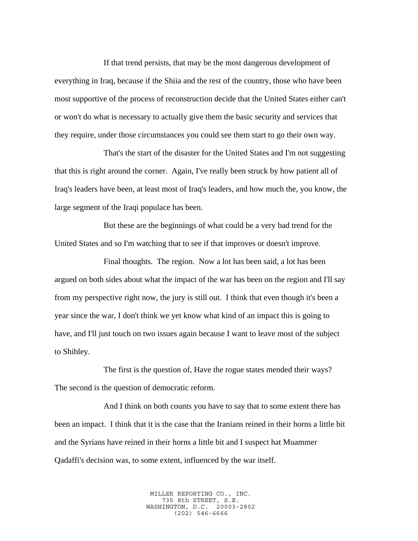If that trend persists, that may be the most dangerous development of everything in Iraq, because if the Shiia and the rest of the country, those who have been most supportive of the process of reconstruction decide that the United States either can't or won't do what is necessary to actually give them the basic security and services that they require, under those circumstances you could see them start to go their own way.

That's the start of the disaster for the United States and I'm not suggesting that this is right around the corner. Again, I've really been struck by how patient all of Iraq's leaders have been, at least most of Iraq's leaders, and how much the, you know, the large segment of the Iraqi populace has been.

But these are the beginnings of what could be a very bad trend for the United States and so I'm watching that to see if that improves or doesn't improve.

Final thoughts. The region. Now a lot has been said, a lot has been argued on both sides about what the impact of the war has been on the region and I'll say from my perspective right now, the jury is still out. I think that even though it's been a year since the war, I don't think we yet know what kind of an impact this is going to have, and I'll just touch on two issues again because I want to leave most of the subject to Shibley.

The first is the question of, Have the rogue states mended their ways? The second is the question of democratic reform.

And I think on both counts you have to say that to some extent there has been an impact. I think that it is the case that the Iranians reined in their horns a little bit and the Syrians have reined in their horns a little bit and I suspect hat Muammer Qadaffi's decision was, to some extent, influenced by the war itself.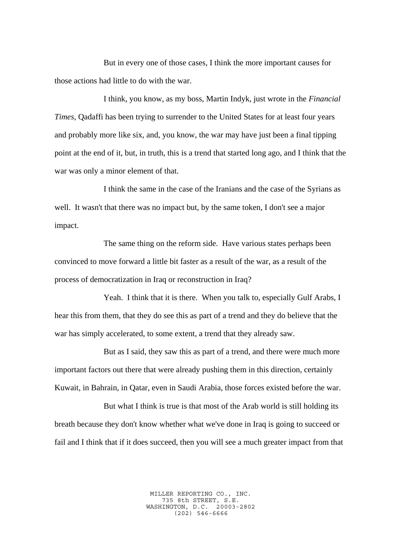But in every one of those cases, I think the more important causes for those actions had little to do with the war.

I think, you know, as my boss, Martin Indyk, just wrote in the *Financial Times*, Qadaffi has been trying to surrender to the United States for at least four years and probably more like six, and, you know, the war may have just been a final tipping point at the end of it, but, in truth, this is a trend that started long ago, and I think that the war was only a minor element of that.

I think the same in the case of the Iranians and the case of the Syrians as well. It wasn't that there was no impact but, by the same token, I don't see a major impact.

The same thing on the reform side. Have various states perhaps been convinced to move forward a little bit faster as a result of the war, as a result of the process of democratization in Iraq or reconstruction in Iraq?

Yeah. I think that it is there. When you talk to, especially Gulf Arabs, I hear this from them, that they do see this as part of a trend and they do believe that the war has simply accelerated, to some extent, a trend that they already saw.

But as I said, they saw this as part of a trend, and there were much more important factors out there that were already pushing them in this direction, certainly Kuwait, in Bahrain, in Qatar, even in Saudi Arabia, those forces existed before the war.

But what I think is true is that most of the Arab world is still holding its breath because they don't know whether what we've done in Iraq is going to succeed or fail and I think that if it does succeed, then you will see a much greater impact from that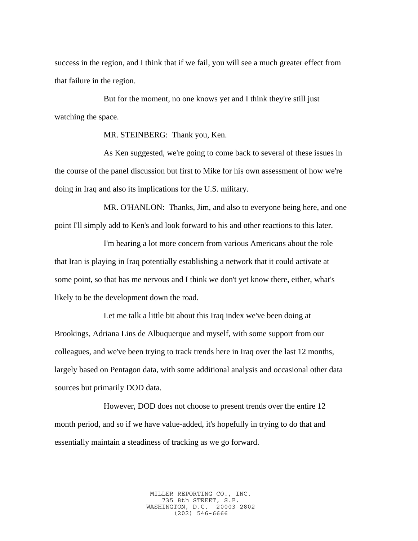success in the region, and I think that if we fail, you will see a much greater effect from that failure in the region.

But for the moment, no one knows yet and I think they're still just watching the space.

MR. STEINBERG: Thank you, Ken.

As Ken suggested, we're going to come back to several of these issues in the course of the panel discussion but first to Mike for his own assessment of how we're doing in Iraq and also its implications for the U.S. military.

MR. O'HANLON: Thanks, Jim, and also to everyone being here, and one point I'll simply add to Ken's and look forward to his and other reactions to this later.

I'm hearing a lot more concern from various Americans about the role that Iran is playing in Iraq potentially establishing a network that it could activate at some point, so that has me nervous and I think we don't yet know there, either, what's likely to be the development down the road.

Let me talk a little bit about this Iraq index we've been doing at Brookings, Adriana Lins de Albuquerque and myself, with some support from our colleagues, and we've been trying to track trends here in Iraq over the last 12 months, largely based on Pentagon data, with some additional analysis and occasional other data sources but primarily DOD data.

However, DOD does not choose to present trends over the entire 12 month period, and so if we have value-added, it's hopefully in trying to do that and essentially maintain a steadiness of tracking as we go forward.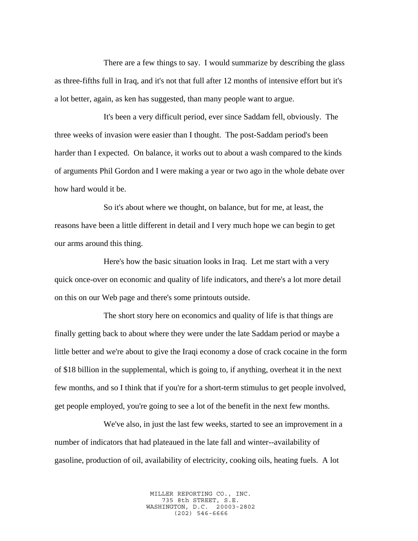There are a few things to say. I would summarize by describing the glass as three-fifths full in Iraq, and it's not that full after 12 months of intensive effort but it's a lot better, again, as ken has suggested, than many people want to argue.

It's been a very difficult period, ever since Saddam fell, obviously. The three weeks of invasion were easier than I thought. The post-Saddam period's been harder than I expected. On balance, it works out to about a wash compared to the kinds of arguments Phil Gordon and I were making a year or two ago in the whole debate over how hard would it be.

So it's about where we thought, on balance, but for me, at least, the reasons have been a little different in detail and I very much hope we can begin to get our arms around this thing.

Here's how the basic situation looks in Iraq. Let me start with a very quick once-over on economic and quality of life indicators, and there's a lot more detail on this on our Web page and there's some printouts outside.

The short story here on economics and quality of life is that things are finally getting back to about where they were under the late Saddam period or maybe a little better and we're about to give the Iraqi economy a dose of crack cocaine in the form of \$18 billion in the supplemental, which is going to, if anything, overheat it in the next few months, and so I think that if you're for a short-term stimulus to get people involved, get people employed, you're going to see a lot of the benefit in the next few months.

We've also, in just the last few weeks, started to see an improvement in a number of indicators that had plateaued in the late fall and winter--availability of gasoline, production of oil, availability of electricity, cooking oils, heating fuels. A lot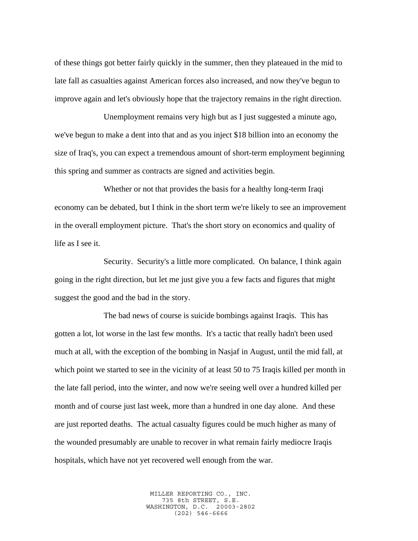of these things got better fairly quickly in the summer, then they plateaued in the mid to late fall as casualties against American forces also increased, and now they've begun to improve again and let's obviously hope that the trajectory remains in the right direction.

Unemployment remains very high but as I just suggested a minute ago, we've begun to make a dent into that and as you inject \$18 billion into an economy the size of Iraq's, you can expect a tremendous amount of short-term employment beginning this spring and summer as contracts are signed and activities begin.

Whether or not that provides the basis for a healthy long-term Iraqi economy can be debated, but I think in the short term we're likely to see an improvement in the overall employment picture. That's the short story on economics and quality of life as I see it.

Security. Security's a little more complicated. On balance, I think again going in the right direction, but let me just give you a few facts and figures that might suggest the good and the bad in the story.

The bad news of course is suicide bombings against Iraqis. This has gotten a lot, lot worse in the last few months. It's a tactic that really hadn't been used much at all, with the exception of the bombing in Nasjaf in August, until the mid fall, at which point we started to see in the vicinity of at least 50 to 75 Iraqis killed per month in the late fall period, into the winter, and now we're seeing well over a hundred killed per month and of course just last week, more than a hundred in one day alone. And these are just reported deaths. The actual casualty figures could be much higher as many of the wounded presumably are unable to recover in what remain fairly mediocre Iraqis hospitals, which have not yet recovered well enough from the war.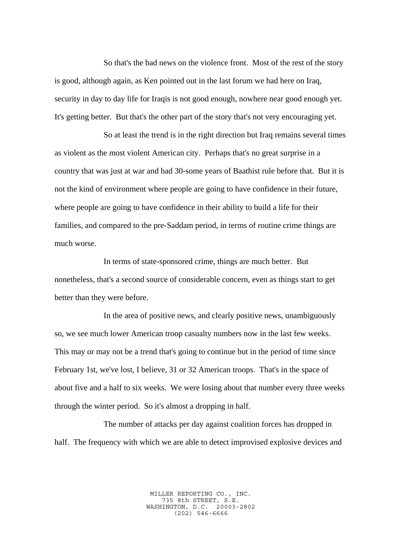So that's the bad news on the violence front. Most of the rest of the story is good, although again, as Ken pointed out in the last forum we had here on Iraq, security in day to day life for Iraqis is not good enough, nowhere near good enough yet. It's getting better. But that's the other part of the story that's not very encouraging yet.

So at least the trend is in the right direction but Iraq remains several times as violent as the most violent American city. Perhaps that's no great surprise in a country that was just at war and had 30-some years of Baathist rule before that. But it is not the kind of environment where people are going to have confidence in their future, where people are going to have confidence in their ability to build a life for their families, and compared to the pre-Saddam period, in terms of routine crime things are much worse.

In terms of state-sponsored crime, things are much better. But nonetheless, that's a second source of considerable concern, even as things start to get better than they were before.

In the area of positive news, and clearly positive news, unambiguously so, we see much lower American troop casualty numbers now in the last few weeks. This may or may not be a trend that's going to continue but in the period of time since February 1st, we've lost, I believe, 31 or 32 American troops. That's in the space of about five and a half to six weeks. We were losing about that number every three weeks through the winter period. So it's almost a dropping in half.

The number of attacks per day against coalition forces has dropped in half. The frequency with which we are able to detect improvised explosive devices and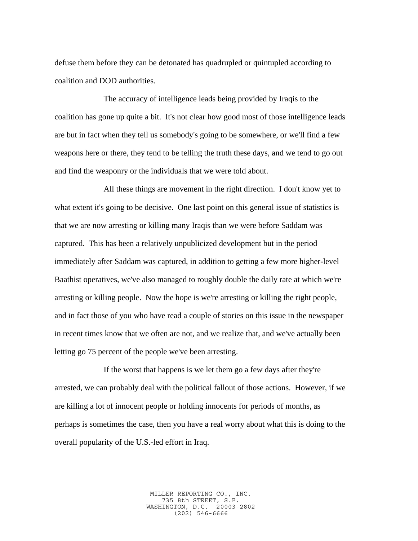defuse them before they can be detonated has quadrupled or quintupled according to coalition and DOD authorities.

The accuracy of intelligence leads being provided by Iraqis to the coalition has gone up quite a bit. It's not clear how good most of those intelligence leads are but in fact when they tell us somebody's going to be somewhere, or we'll find a few weapons here or there, they tend to be telling the truth these days, and we tend to go out and find the weaponry or the individuals that we were told about.

All these things are movement in the right direction. I don't know yet to what extent it's going to be decisive. One last point on this general issue of statistics is that we are now arresting or killing many Iraqis than we were before Saddam was captured. This has been a relatively unpublicized development but in the period immediately after Saddam was captured, in addition to getting a few more higher-level Baathist operatives, we've also managed to roughly double the daily rate at which we're arresting or killing people. Now the hope is we're arresting or killing the right people, and in fact those of you who have read a couple of stories on this issue in the newspaper in recent times know that we often are not, and we realize that, and we've actually been letting go 75 percent of the people we've been arresting.

If the worst that happens is we let them go a few days after they're arrested, we can probably deal with the political fallout of those actions. However, if we are killing a lot of innocent people or holding innocents for periods of months, as perhaps is sometimes the case, then you have a real worry about what this is doing to the overall popularity of the U.S.-led effort in Iraq.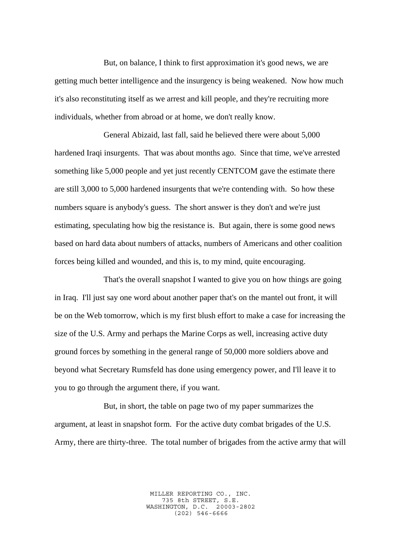But, on balance, I think to first approximation it's good news, we are getting much better intelligence and the insurgency is being weakened. Now how much it's also reconstituting itself as we arrest and kill people, and they're recruiting more individuals, whether from abroad or at home, we don't really know.

General Abizaid, last fall, said he believed there were about 5,000 hardened Iraqi insurgents. That was about months ago. Since that time, we've arrested something like 5,000 people and yet just recently CENTCOM gave the estimate there are still 3,000 to 5,000 hardened insurgents that we're contending with. So how these numbers square is anybody's guess. The short answer is they don't and we're just estimating, speculating how big the resistance is. But again, there is some good news based on hard data about numbers of attacks, numbers of Americans and other coalition forces being killed and wounded, and this is, to my mind, quite encouraging.

That's the overall snapshot I wanted to give you on how things are going in Iraq. I'll just say one word about another paper that's on the mantel out front, it will be on the Web tomorrow, which is my first blush effort to make a case for increasing the size of the U.S. Army and perhaps the Marine Corps as well, increasing active duty ground forces by something in the general range of 50,000 more soldiers above and beyond what Secretary Rumsfeld has done using emergency power, and I'll leave it to you to go through the argument there, if you want.

But, in short, the table on page two of my paper summarizes the argument, at least in snapshot form. For the active duty combat brigades of the U.S. Army, there are thirty-three. The total number of brigades from the active army that will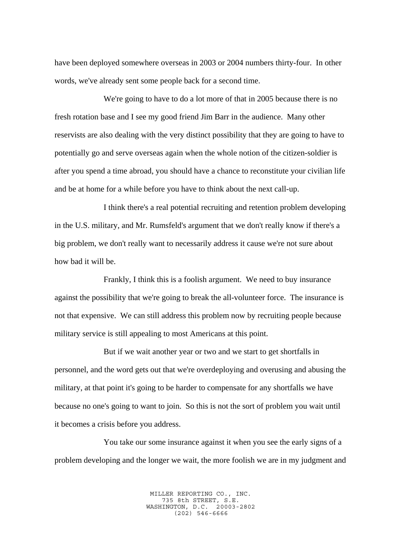have been deployed somewhere overseas in 2003 or 2004 numbers thirty-four. In other words, we've already sent some people back for a second time.

We're going to have to do a lot more of that in 2005 because there is no fresh rotation base and I see my good friend Jim Barr in the audience. Many other reservists are also dealing with the very distinct possibility that they are going to have to potentially go and serve overseas again when the whole notion of the citizen-soldier is after you spend a time abroad, you should have a chance to reconstitute your civilian life and be at home for a while before you have to think about the next call-up.

I think there's a real potential recruiting and retention problem developing in the U.S. military, and Mr. Rumsfeld's argument that we don't really know if there's a big problem, we don't really want to necessarily address it cause we're not sure about how bad it will be.

Frankly, I think this is a foolish argument. We need to buy insurance against the possibility that we're going to break the all-volunteer force. The insurance is not that expensive. We can still address this problem now by recruiting people because military service is still appealing to most Americans at this point.

But if we wait another year or two and we start to get shortfalls in personnel, and the word gets out that we're overdeploying and overusing and abusing the military, at that point it's going to be harder to compensate for any shortfalls we have because no one's going to want to join. So this is not the sort of problem you wait until it becomes a crisis before you address.

You take our some insurance against it when you see the early signs of a problem developing and the longer we wait, the more foolish we are in my judgment and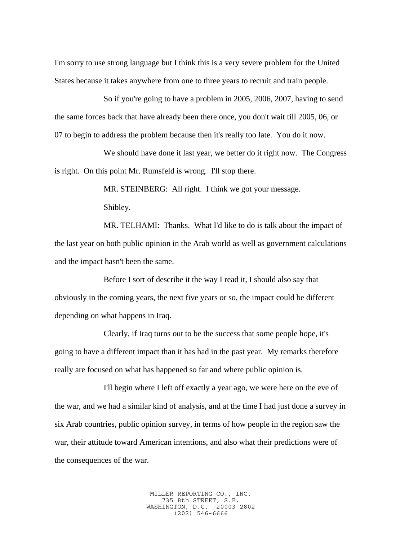I'm sorry to use strong language but I think this is a very severe problem for the United States because it takes anywhere from one to three years to recruit and train people.

So if you're going to have a problem in 2005, 2006, 2007, having to send the same forces back that have already been there once, you don't wait till 2005, 06, or 07 to begin to address the problem because then it's really too late. You do it now.

We should have done it last year, we better do it right now. The Congress is right. On this point Mr. Rumsfeld is wrong. I'll stop there.

> MR. STEINBERG: All right. I think we got your message. Shibley.

MR. TELHAMI: Thanks. What I'd like to do is talk about the impact of the last year on both public opinion in the Arab world as well as government calculations and the impact hasn't been the same.

Before I sort of describe it the way I read it, I should also say that obviously in the coming years, the next five years or so, the impact could be different depending on what happens in Iraq.

Clearly, if Iraq turns out to be the success that some people hope, it's going to have a different impact than it has had in the past year. My remarks therefore really are focused on what has happened so far and where public opinion is.

I'll begin where I left off exactly a year ago, we were here on the eve of the war, and we had a similar kind of analysis, and at the time I had just done a survey in six Arab countries, public opinion survey, in terms of how people in the region saw the war, their attitude toward American intentions, and also what their predictions were of the consequences of the war.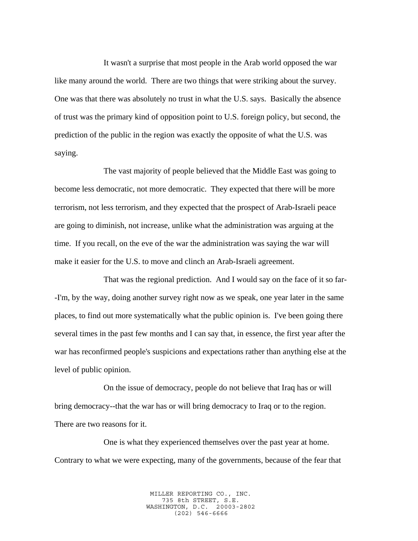It wasn't a surprise that most people in the Arab world opposed the war like many around the world. There are two things that were striking about the survey. One was that there was absolutely no trust in what the U.S. says. Basically the absence of trust was the primary kind of opposition point to U.S. foreign policy, but second, the prediction of the public in the region was exactly the opposite of what the U.S. was saying.

The vast majority of people believed that the Middle East was going to become less democratic, not more democratic. They expected that there will be more terrorism, not less terrorism, and they expected that the prospect of Arab-Israeli peace are going to diminish, not increase, unlike what the administration was arguing at the time. If you recall, on the eve of the war the administration was saying the war will make it easier for the U.S. to move and clinch an Arab-Israeli agreement.

That was the regional prediction. And I would say on the face of it so far- -I'm, by the way, doing another survey right now as we speak, one year later in the same places, to find out more systematically what the public opinion is. I've been going there several times in the past few months and I can say that, in essence, the first year after the war has reconfirmed people's suspicions and expectations rather than anything else at the level of public opinion.

On the issue of democracy, people do not believe that Iraq has or will bring democracy--that the war has or will bring democracy to Iraq or to the region. There are two reasons for it.

One is what they experienced themselves over the past year at home. Contrary to what we were expecting, many of the governments, because of the fear that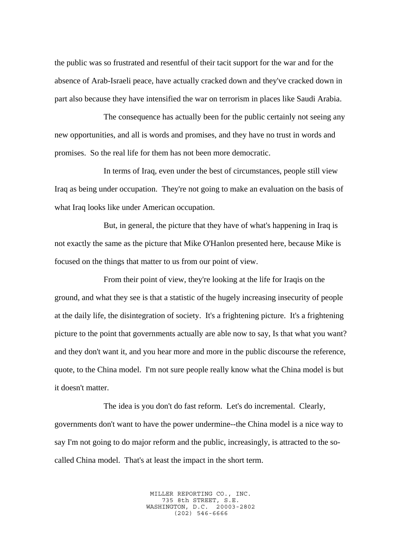the public was so frustrated and resentful of their tacit support for the war and for the absence of Arab-Israeli peace, have actually cracked down and they've cracked down in part also because they have intensified the war on terrorism in places like Saudi Arabia.

The consequence has actually been for the public certainly not seeing any new opportunities, and all is words and promises, and they have no trust in words and promises. So the real life for them has not been more democratic.

In terms of Iraq, even under the best of circumstances, people still view Iraq as being under occupation. They're not going to make an evaluation on the basis of what Iraq looks like under American occupation.

But, in general, the picture that they have of what's happening in Iraq is not exactly the same as the picture that Mike O'Hanlon presented here, because Mike is focused on the things that matter to us from our point of view.

From their point of view, they're looking at the life for Iraqis on the ground, and what they see is that a statistic of the hugely increasing insecurity of people at the daily life, the disintegration of society. It's a frightening picture. It's a frightening picture to the point that governments actually are able now to say, Is that what you want? and they don't want it, and you hear more and more in the public discourse the reference, quote, to the China model. I'm not sure people really know what the China model is but it doesn't matter.

The idea is you don't do fast reform. Let's do incremental. Clearly, governments don't want to have the power undermine--the China model is a nice way to say I'm not going to do major reform and the public, increasingly, is attracted to the socalled China model. That's at least the impact in the short term.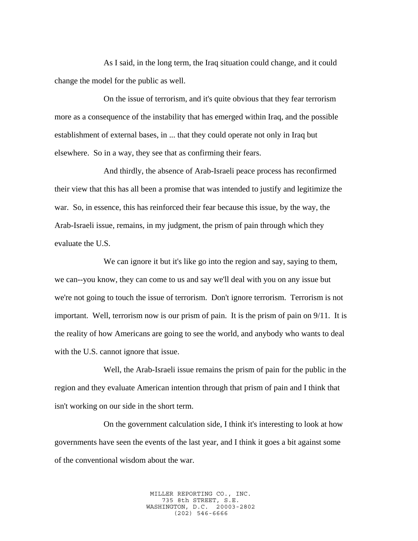As I said, in the long term, the Iraq situation could change, and it could change the model for the public as well.

On the issue of terrorism, and it's quite obvious that they fear terrorism more as a consequence of the instability that has emerged within Iraq, and the possible establishment of external bases, in ... that they could operate not only in Iraq but elsewhere. So in a way, they see that as confirming their fears.

And thirdly, the absence of Arab-Israeli peace process has reconfirmed their view that this has all been a promise that was intended to justify and legitimize the war. So, in essence, this has reinforced their fear because this issue, by the way, the Arab-Israeli issue, remains, in my judgment, the prism of pain through which they evaluate the U.S.

We can ignore it but it's like go into the region and say, saying to them, we can--you know, they can come to us and say we'll deal with you on any issue but we're not going to touch the issue of terrorism. Don't ignore terrorism. Terrorism is not important. Well, terrorism now is our prism of pain. It is the prism of pain on 9/11. It is the reality of how Americans are going to see the world, and anybody who wants to deal with the U.S. cannot ignore that issue.

Well, the Arab-Israeli issue remains the prism of pain for the public in the region and they evaluate American intention through that prism of pain and I think that isn't working on our side in the short term.

On the government calculation side, I think it's interesting to look at how governments have seen the events of the last year, and I think it goes a bit against some of the conventional wisdom about the war.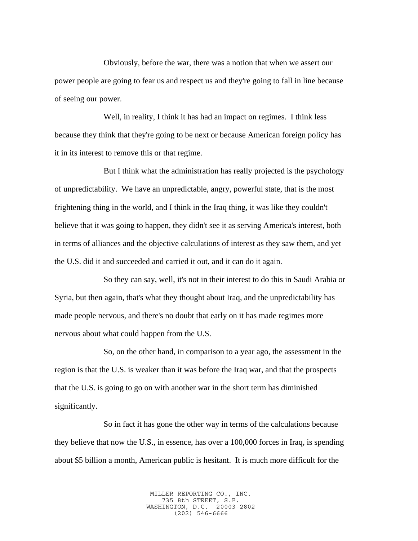Obviously, before the war, there was a notion that when we assert our power people are going to fear us and respect us and they're going to fall in line because of seeing our power.

Well, in reality, I think it has had an impact on regimes. I think less because they think that they're going to be next or because American foreign policy has it in its interest to remove this or that regime.

But I think what the administration has really projected is the psychology of unpredictability. We have an unpredictable, angry, powerful state, that is the most frightening thing in the world, and I think in the Iraq thing, it was like they couldn't believe that it was going to happen, they didn't see it as serving America's interest, both in terms of alliances and the objective calculations of interest as they saw them, and yet the U.S. did it and succeeded and carried it out, and it can do it again.

So they can say, well, it's not in their interest to do this in Saudi Arabia or Syria, but then again, that's what they thought about Iraq, and the unpredictability has made people nervous, and there's no doubt that early on it has made regimes more nervous about what could happen from the U.S.

So, on the other hand, in comparison to a year ago, the assessment in the region is that the U.S. is weaker than it was before the Iraq war, and that the prospects that the U.S. is going to go on with another war in the short term has diminished significantly.

So in fact it has gone the other way in terms of the calculations because they believe that now the U.S., in essence, has over a 100,000 forces in Iraq, is spending about \$5 billion a month, American public is hesitant. It is much more difficult for the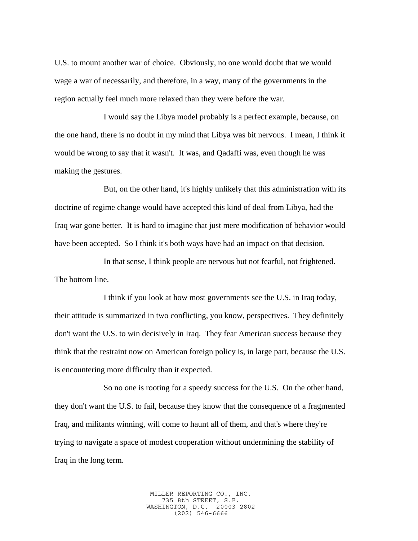U.S. to mount another war of choice. Obviously, no one would doubt that we would wage a war of necessarily, and therefore, in a way, many of the governments in the region actually feel much more relaxed than they were before the war.

I would say the Libya model probably is a perfect example, because, on the one hand, there is no doubt in my mind that Libya was bit nervous. I mean, I think it would be wrong to say that it wasn't. It was, and Qadaffi was, even though he was making the gestures.

But, on the other hand, it's highly unlikely that this administration with its doctrine of regime change would have accepted this kind of deal from Libya, had the Iraq war gone better. It is hard to imagine that just mere modification of behavior would have been accepted. So I think it's both ways have had an impact on that decision.

In that sense, I think people are nervous but not fearful, not frightened. The bottom line.

I think if you look at how most governments see the U.S. in Iraq today, their attitude is summarized in two conflicting, you know, perspectives. They definitely don't want the U.S. to win decisively in Iraq. They fear American success because they think that the restraint now on American foreign policy is, in large part, because the U.S. is encountering more difficulty than it expected.

So no one is rooting for a speedy success for the U.S. On the other hand, they don't want the U.S. to fail, because they know that the consequence of a fragmented Iraq, and militants winning, will come to haunt all of them, and that's where they're trying to navigate a space of modest cooperation without undermining the stability of Iraq in the long term.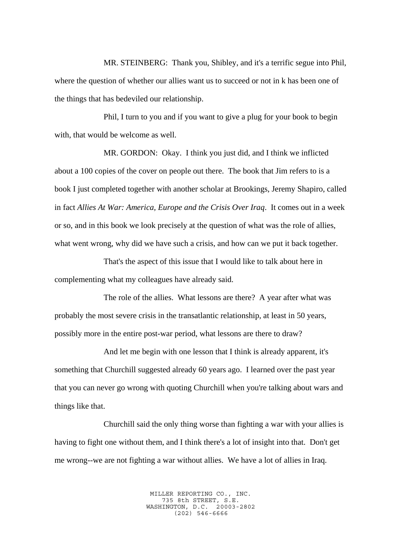MR. STEINBERG: Thank you, Shibley, and it's a terrific segue into Phil, where the question of whether our allies want us to succeed or not in k has been one of the things that has bedeviled our relationship.

Phil, I turn to you and if you want to give a plug for your book to begin with, that would be welcome as well.

MR. GORDON: Okay. I think you just did, and I think we inflicted about a 100 copies of the cover on people out there. The book that Jim refers to is a book I just completed together with another scholar at Brookings, Jeremy Shapiro, called in fact *Allies At War: America, Europe and the Crisis Over Iraq*. It comes out in a week or so, and in this book we look precisely at the question of what was the role of allies, what went wrong, why did we have such a crisis, and how can we put it back together.

That's the aspect of this issue that I would like to talk about here in complementing what my colleagues have already said.

The role of the allies. What lessons are there? A year after what was probably the most severe crisis in the transatlantic relationship, at least in 50 years, possibly more in the entire post-war period, what lessons are there to draw?

And let me begin with one lesson that I think is already apparent, it's something that Churchill suggested already 60 years ago. I learned over the past year that you can never go wrong with quoting Churchill when you're talking about wars and things like that.

Churchill said the only thing worse than fighting a war with your allies is having to fight one without them, and I think there's a lot of insight into that. Don't get me wrong--we are not fighting a war without allies. We have a lot of allies in Iraq.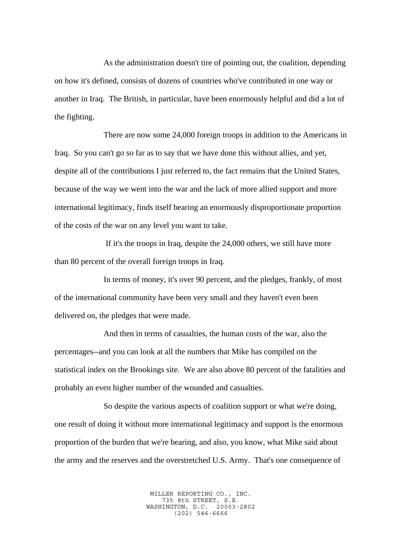As the administration doesn't tire of pointing out, the coalition, depending on how it's defined, consists of dozens of countries who've contributed in one way or another in Iraq. The British, in particular, have been enormously helpful and did a lot of the fighting.

There are now some 24,000 foreign troops in addition to the Americans in Iraq. So you can't go so far as to say that we have done this without allies, and yet, despite all of the contributions I just referred to, the fact remains that the United States, because of the way we went into the war and the lack of more allied support and more international legitimacy, finds itself bearing an enormously disproportionate proportion of the costs of the war on any level you want to take.

 If it's the troops in Iraq, despite the 24,000 others, we still have more than 80 percent of the overall foreign troops in Iraq.

In terms of money, it's over 90 percent, and the pledges, frankly, of most of the international community have been very small and they haven't even been delivered on, the pledges that were made.

And then in terms of casualties, the human costs of the war, also the percentages--and you can look at all the numbers that Mike has compiled on the statistical index on the Brookings site. We are also above 80 percent of the fatalities and probably an even higher number of the wounded and casualties.

So despite the various aspects of coalition support or what we're doing, one result of doing it without more international legitimacy and support is the enormous proportion of the burden that we're bearing, and also, you know, what Mike said about the army and the reserves and the overstretched U.S. Army. That's one consequence of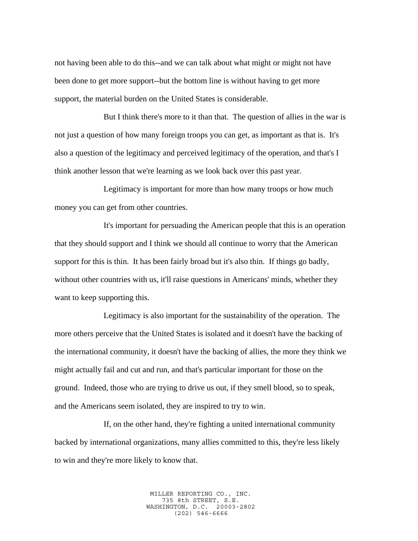not having been able to do this--and we can talk about what might or might not have been done to get more support--but the bottom line is without having to get more support, the material burden on the United States is considerable.

But I think there's more to it than that. The question of allies in the war is not just a question of how many foreign troops you can get, as important as that is. It's also a question of the legitimacy and perceived legitimacy of the operation, and that's I think another lesson that we're learning as we look back over this past year.

Legitimacy is important for more than how many troops or how much money you can get from other countries.

It's important for persuading the American people that this is an operation that they should support and I think we should all continue to worry that the American support for this is thin. It has been fairly broad but it's also thin. If things go badly, without other countries with us, it'll raise questions in Americans' minds, whether they want to keep supporting this.

Legitimacy is also important for the sustainability of the operation. The more others perceive that the United States is isolated and it doesn't have the backing of the international community, it doesn't have the backing of allies, the more they think we might actually fail and cut and run, and that's particular important for those on the ground. Indeed, those who are trying to drive us out, if they smell blood, so to speak, and the Americans seem isolated, they are inspired to try to win.

If, on the other hand, they're fighting a united international community backed by international organizations, many allies committed to this, they're less likely to win and they're more likely to know that.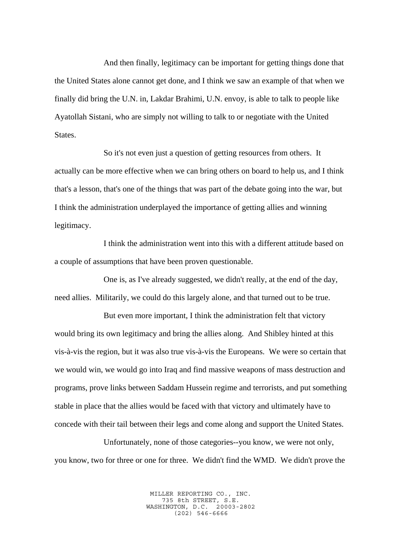And then finally, legitimacy can be important for getting things done that the United States alone cannot get done, and I think we saw an example of that when we finally did bring the U.N. in, Lakdar Brahimi, U.N. envoy, is able to talk to people like Ayatollah Sistani, who are simply not willing to talk to or negotiate with the United States.

So it's not even just a question of getting resources from others. It actually can be more effective when we can bring others on board to help us, and I think that's a lesson, that's one of the things that was part of the debate going into the war, but I think the administration underplayed the importance of getting allies and winning legitimacy.

I think the administration went into this with a different attitude based on a couple of assumptions that have been proven questionable.

One is, as I've already suggested, we didn't really, at the end of the day, need allies. Militarily, we could do this largely alone, and that turned out to be true.

But even more important, I think the administration felt that victory would bring its own legitimacy and bring the allies along. And Shibley hinted at this vis-à-vis the region, but it was also true vis-à-vis the Europeans. We were so certain that we would win, we would go into Iraq and find massive weapons of mass destruction and programs, prove links between Saddam Hussein regime and terrorists, and put something stable in place that the allies would be faced with that victory and ultimately have to concede with their tail between their legs and come along and support the United States.

Unfortunately, none of those categories--you know, we were not only, you know, two for three or one for three. We didn't find the WMD. We didn't prove the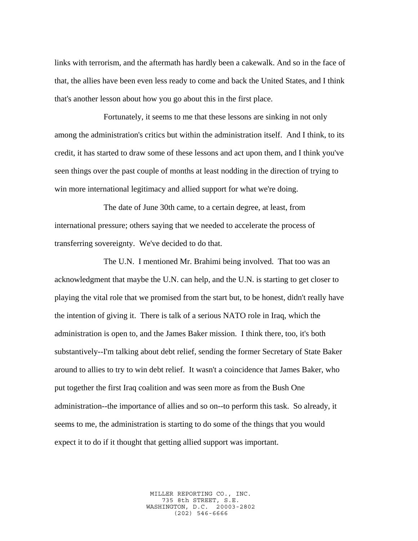links with terrorism, and the aftermath has hardly been a cakewalk. And so in the face of that, the allies have been even less ready to come and back the United States, and I think that's another lesson about how you go about this in the first place.

Fortunately, it seems to me that these lessons are sinking in not only among the administration's critics but within the administration itself. And I think, to its credit, it has started to draw some of these lessons and act upon them, and I think you've seen things over the past couple of months at least nodding in the direction of trying to win more international legitimacy and allied support for what we're doing.

The date of June 30th came, to a certain degree, at least, from international pressure; others saying that we needed to accelerate the process of transferring sovereignty. We've decided to do that.

The U.N. I mentioned Mr. Brahimi being involved. That too was an acknowledgment that maybe the U.N. can help, and the U.N. is starting to get closer to playing the vital role that we promised from the start but, to be honest, didn't really have the intention of giving it. There is talk of a serious NATO role in Iraq, which the administration is open to, and the James Baker mission. I think there, too, it's both substantively--I'm talking about debt relief, sending the former Secretary of State Baker around to allies to try to win debt relief. It wasn't a coincidence that James Baker, who put together the first Iraq coalition and was seen more as from the Bush One administration--the importance of allies and so on--to perform this task. So already, it seems to me, the administration is starting to do some of the things that you would expect it to do if it thought that getting allied support was important.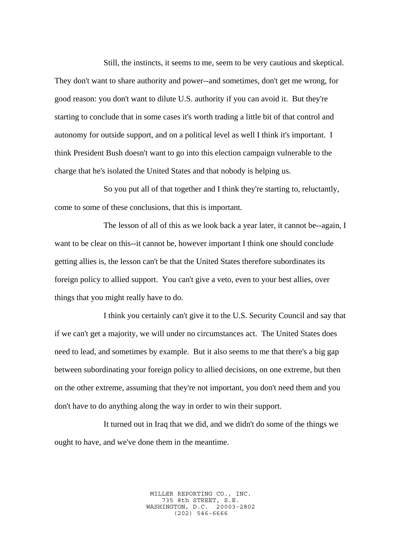Still, the instincts, it seems to me, seem to be very cautious and skeptical. They don't want to share authority and power--and sometimes, don't get me wrong, for good reason: you don't want to dilute U.S. authority if you can avoid it. But they're starting to conclude that in some cases it's worth trading a little bit of that control and autonomy for outside support, and on a political level as well I think it's important. I think President Bush doesn't want to go into this election campaign vulnerable to the charge that he's isolated the United States and that nobody is helping us.

So you put all of that together and I think they're starting to, reluctantly, come to some of these conclusions, that this is important.

The lesson of all of this as we look back a year later, it cannot be--again, I want to be clear on this--it cannot be, however important I think one should conclude getting allies is, the lesson can't be that the United States therefore subordinates its foreign policy to allied support. You can't give a veto, even to your best allies, over things that you might really have to do.

I think you certainly can't give it to the U.S. Security Council and say that if we can't get a majority, we will under no circumstances act. The United States does need to lead, and sometimes by example. But it also seems to me that there's a big gap between subordinating your foreign policy to allied decisions, on one extreme, but then on the other extreme, assuming that they're not important, you don't need them and you don't have to do anything along the way in order to win their support.

It turned out in Iraq that we did, and we didn't do some of the things we ought to have, and we've done them in the meantime.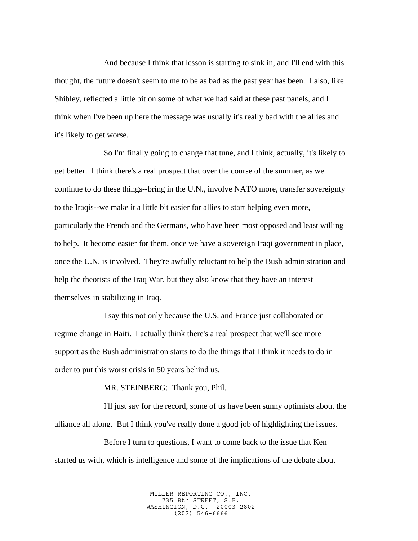And because I think that lesson is starting to sink in, and I'll end with this thought, the future doesn't seem to me to be as bad as the past year has been. I also, like Shibley, reflected a little bit on some of what we had said at these past panels, and I think when I've been up here the message was usually it's really bad with the allies and it's likely to get worse.

So I'm finally going to change that tune, and I think, actually, it's likely to get better. I think there's a real prospect that over the course of the summer, as we continue to do these things--bring in the U.N., involve NATO more, transfer sovereignty to the Iraqis--we make it a little bit easier for allies to start helping even more, particularly the French and the Germans, who have been most opposed and least willing to help. It become easier for them, once we have a sovereign Iraqi government in place, once the U.N. is involved. They're awfully reluctant to help the Bush administration and help the theorists of the Iraq War, but they also know that they have an interest themselves in stabilizing in Iraq.

I say this not only because the U.S. and France just collaborated on regime change in Haiti. I actually think there's a real prospect that we'll see more support as the Bush administration starts to do the things that I think it needs to do in order to put this worst crisis in 50 years behind us.

MR. STEINBERG: Thank you, Phil.

I'll just say for the record, some of us have been sunny optimists about the alliance all along. But I think you've really done a good job of highlighting the issues.

Before I turn to questions, I want to come back to the issue that Ken started us with, which is intelligence and some of the implications of the debate about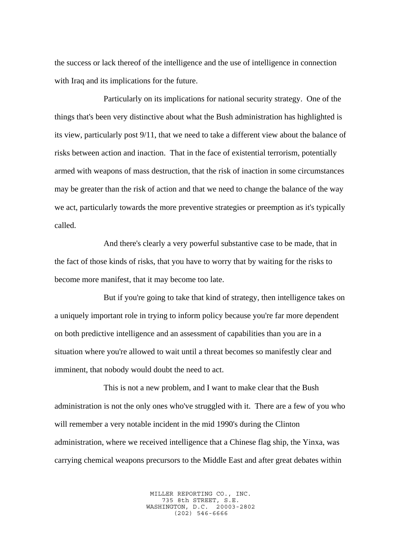the success or lack thereof of the intelligence and the use of intelligence in connection with Iraq and its implications for the future.

Particularly on its implications for national security strategy. One of the things that's been very distinctive about what the Bush administration has highlighted is its view, particularly post 9/11, that we need to take a different view about the balance of risks between action and inaction. That in the face of existential terrorism, potentially armed with weapons of mass destruction, that the risk of inaction in some circumstances may be greater than the risk of action and that we need to change the balance of the way we act, particularly towards the more preventive strategies or preemption as it's typically called.

And there's clearly a very powerful substantive case to be made, that in the fact of those kinds of risks, that you have to worry that by waiting for the risks to become more manifest, that it may become too late.

But if you're going to take that kind of strategy, then intelligence takes on a uniquely important role in trying to inform policy because you're far more dependent on both predictive intelligence and an assessment of capabilities than you are in a situation where you're allowed to wait until a threat becomes so manifestly clear and imminent, that nobody would doubt the need to act.

This is not a new problem, and I want to make clear that the Bush administration is not the only ones who've struggled with it. There are a few of you who will remember a very notable incident in the mid 1990's during the Clinton administration, where we received intelligence that a Chinese flag ship, the Yinxa, was carrying chemical weapons precursors to the Middle East and after great debates within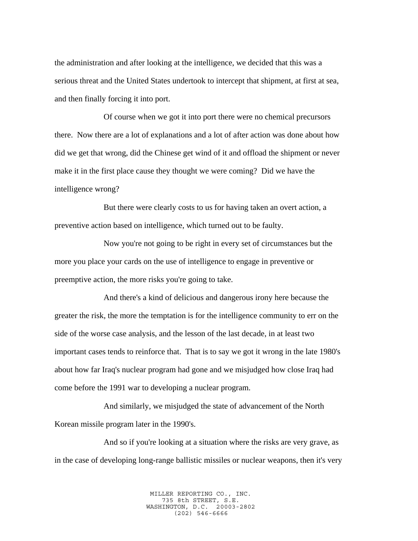the administration and after looking at the intelligence, we decided that this was a serious threat and the United States undertook to intercept that shipment, at first at sea, and then finally forcing it into port.

Of course when we got it into port there were no chemical precursors there. Now there are a lot of explanations and a lot of after action was done about how did we get that wrong, did the Chinese get wind of it and offload the shipment or never make it in the first place cause they thought we were coming? Did we have the intelligence wrong?

But there were clearly costs to us for having taken an overt action, a preventive action based on intelligence, which turned out to be faulty.

Now you're not going to be right in every set of circumstances but the more you place your cards on the use of intelligence to engage in preventive or preemptive action, the more risks you're going to take.

And there's a kind of delicious and dangerous irony here because the greater the risk, the more the temptation is for the intelligence community to err on the side of the worse case analysis, and the lesson of the last decade, in at least two important cases tends to reinforce that. That is to say we got it wrong in the late 1980's about how far Iraq's nuclear program had gone and we misjudged how close Iraq had come before the 1991 war to developing a nuclear program.

And similarly, we misjudged the state of advancement of the North Korean missile program later in the 1990's.

And so if you're looking at a situation where the risks are very grave, as in the case of developing long-range ballistic missiles or nuclear weapons, then it's very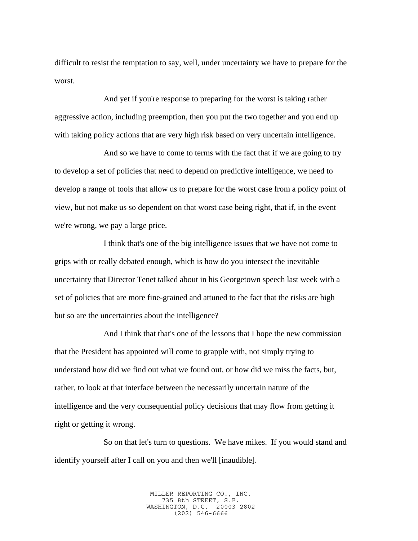difficult to resist the temptation to say, well, under uncertainty we have to prepare for the worst.

And yet if you're response to preparing for the worst is taking rather aggressive action, including preemption, then you put the two together and you end up with taking policy actions that are very high risk based on very uncertain intelligence.

And so we have to come to terms with the fact that if we are going to try to develop a set of policies that need to depend on predictive intelligence, we need to develop a range of tools that allow us to prepare for the worst case from a policy point of view, but not make us so dependent on that worst case being right, that if, in the event we're wrong, we pay a large price.

I think that's one of the big intelligence issues that we have not come to grips with or really debated enough, which is how do you intersect the inevitable uncertainty that Director Tenet talked about in his Georgetown speech last week with a set of policies that are more fine-grained and attuned to the fact that the risks are high but so are the uncertainties about the intelligence?

And I think that that's one of the lessons that I hope the new commission that the President has appointed will come to grapple with, not simply trying to understand how did we find out what we found out, or how did we miss the facts, but, rather, to look at that interface between the necessarily uncertain nature of the intelligence and the very consequential policy decisions that may flow from getting it right or getting it wrong.

So on that let's turn to questions. We have mikes. If you would stand and identify yourself after I call on you and then we'll [inaudible].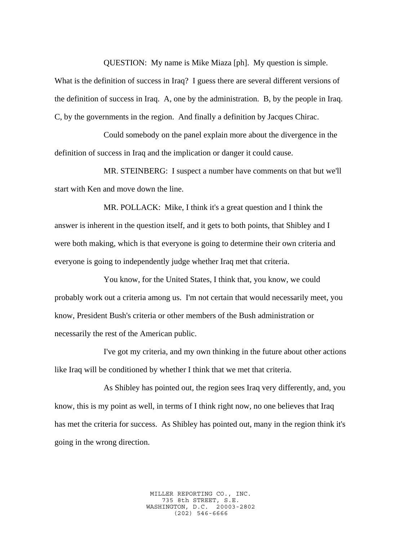QUESTION: My name is Mike Miaza [ph]. My question is simple.

What is the definition of success in Iraq? I guess there are several different versions of the definition of success in Iraq. A, one by the administration. B, by the people in Iraq. C, by the governments in the region. And finally a definition by Jacques Chirac.

Could somebody on the panel explain more about the divergence in the definition of success in Iraq and the implication or danger it could cause.

MR. STEINBERG: I suspect a number have comments on that but we'll start with Ken and move down the line.

MR. POLLACK: Mike, I think it's a great question and I think the answer is inherent in the question itself, and it gets to both points, that Shibley and I were both making, which is that everyone is going to determine their own criteria and everyone is going to independently judge whether Iraq met that criteria.

You know, for the United States, I think that, you know, we could probably work out a criteria among us. I'm not certain that would necessarily meet, you know, President Bush's criteria or other members of the Bush administration or necessarily the rest of the American public.

I've got my criteria, and my own thinking in the future about other actions like Iraq will be conditioned by whether I think that we met that criteria.

As Shibley has pointed out, the region sees Iraq very differently, and, you know, this is my point as well, in terms of I think right now, no one believes that Iraq has met the criteria for success. As Shibley has pointed out, many in the region think it's going in the wrong direction.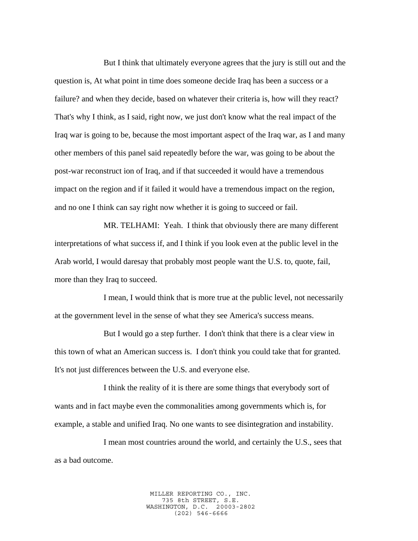But I think that ultimately everyone agrees that the jury is still out and the question is, At what point in time does someone decide Iraq has been a success or a failure? and when they decide, based on whatever their criteria is, how will they react? That's why I think, as I said, right now, we just don't know what the real impact of the Iraq war is going to be, because the most important aspect of the Iraq war, as I and many other members of this panel said repeatedly before the war, was going to be about the post-war reconstruct ion of Iraq, and if that succeeded it would have a tremendous impact on the region and if it failed it would have a tremendous impact on the region, and no one I think can say right now whether it is going to succeed or fail.

MR. TELHAMI: Yeah. I think that obviously there are many different interpretations of what success if, and I think if you look even at the public level in the Arab world, I would daresay that probably most people want the U.S. to, quote, fail, more than they Iraq to succeed.

I mean, I would think that is more true at the public level, not necessarily at the government level in the sense of what they see America's success means.

But I would go a step further. I don't think that there is a clear view in this town of what an American success is. I don't think you could take that for granted. It's not just differences between the U.S. and everyone else.

I think the reality of it is there are some things that everybody sort of wants and in fact maybe even the commonalities among governments which is, for example, a stable and unified Iraq. No one wants to see disintegration and instability.

I mean most countries around the world, and certainly the U.S., sees that as a bad outcome.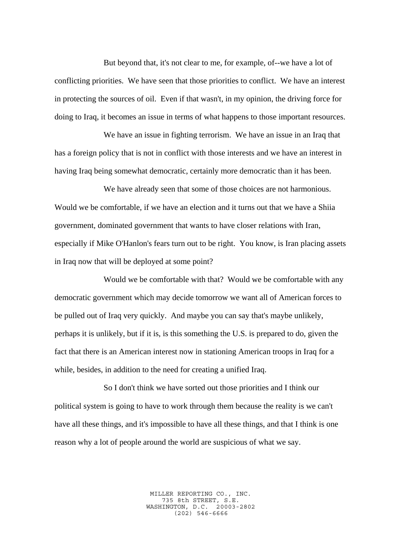But beyond that, it's not clear to me, for example, of--we have a lot of conflicting priorities. We have seen that those priorities to conflict. We have an interest in protecting the sources of oil. Even if that wasn't, in my opinion, the driving force for doing to Iraq, it becomes an issue in terms of what happens to those important resources.

We have an issue in fighting terrorism. We have an issue in an Iraq that has a foreign policy that is not in conflict with those interests and we have an interest in having Iraq being somewhat democratic, certainly more democratic than it has been.

We have already seen that some of those choices are not harmonious. Would we be comfortable, if we have an election and it turns out that we have a Shiia government, dominated government that wants to have closer relations with Iran, especially if Mike O'Hanlon's fears turn out to be right. You know, is Iran placing assets in Iraq now that will be deployed at some point?

Would we be comfortable with that? Would we be comfortable with any democratic government which may decide tomorrow we want all of American forces to be pulled out of Iraq very quickly. And maybe you can say that's maybe unlikely, perhaps it is unlikely, but if it is, is this something the U.S. is prepared to do, given the fact that there is an American interest now in stationing American troops in Iraq for a while, besides, in addition to the need for creating a unified Iraq.

So I don't think we have sorted out those priorities and I think our political system is going to have to work through them because the reality is we can't have all these things, and it's impossible to have all these things, and that I think is one reason why a lot of people around the world are suspicious of what we say.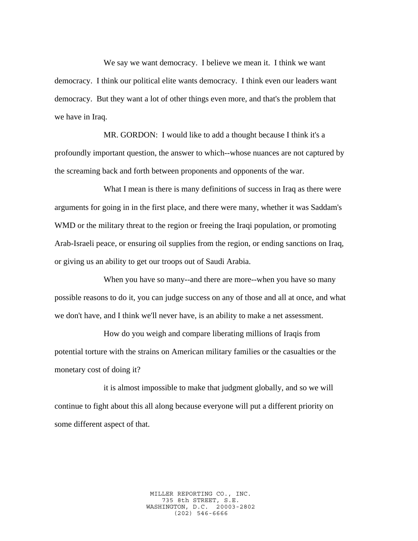We say we want democracy. I believe we mean it. I think we want democracy. I think our political elite wants democracy. I think even our leaders want democracy. But they want a lot of other things even more, and that's the problem that we have in Iraq.

MR. GORDON: I would like to add a thought because I think it's a profoundly important question, the answer to which--whose nuances are not captured by the screaming back and forth between proponents and opponents of the war.

What I mean is there is many definitions of success in Iraq as there were arguments for going in in the first place, and there were many, whether it was Saddam's WMD or the military threat to the region or freeing the Iraqi population, or promoting Arab-Israeli peace, or ensuring oil supplies from the region, or ending sanctions on Iraq, or giving us an ability to get our troops out of Saudi Arabia.

When you have so many--and there are more--when you have so many possible reasons to do it, you can judge success on any of those and all at once, and what we don't have, and I think we'll never have, is an ability to make a net assessment.

How do you weigh and compare liberating millions of Iraqis from potential torture with the strains on American military families or the casualties or the monetary cost of doing it?

it is almost impossible to make that judgment globally, and so we will continue to fight about this all along because everyone will put a different priority on some different aspect of that.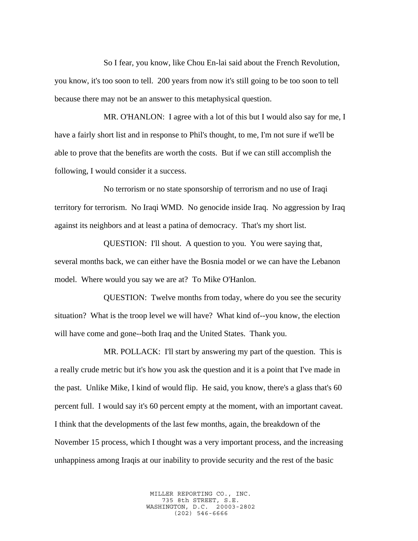So I fear, you know, like Chou En-lai said about the French Revolution, you know, it's too soon to tell. 200 years from now it's still going to be too soon to tell because there may not be an answer to this metaphysical question.

MR. O'HANLON: I agree with a lot of this but I would also say for me, I have a fairly short list and in response to Phil's thought, to me, I'm not sure if we'll be able to prove that the benefits are worth the costs. But if we can still accomplish the following, I would consider it a success.

No terrorism or no state sponsorship of terrorism and no use of Iraqi territory for terrorism. No Iraqi WMD. No genocide inside Iraq. No aggression by Iraq against its neighbors and at least a patina of democracy. That's my short list.

QUESTION: I'll shout. A question to you. You were saying that, several months back, we can either have the Bosnia model or we can have the Lebanon model. Where would you say we are at? To Mike O'Hanlon.

QUESTION: Twelve months from today, where do you see the security situation? What is the troop level we will have? What kind of--you know, the election will have come and gone--both Iraq and the United States. Thank you.

MR. POLLACK: I'll start by answering my part of the question. This is a really crude metric but it's how you ask the question and it is a point that I've made in the past. Unlike Mike, I kind of would flip. He said, you know, there's a glass that's 60 percent full. I would say it's 60 percent empty at the moment, with an important caveat. I think that the developments of the last few months, again, the breakdown of the November 15 process, which I thought was a very important process, and the increasing unhappiness among Iraqis at our inability to provide security and the rest of the basic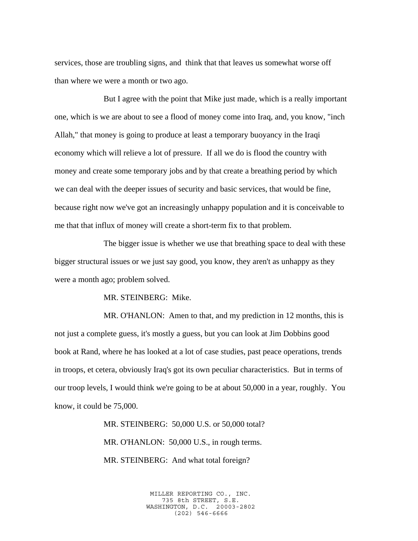services, those are troubling signs, and think that that leaves us somewhat worse off than where we were a month or two ago.

But I agree with the point that Mike just made, which is a really important one, which is we are about to see a flood of money come into Iraq, and, you know, "inch Allah," that money is going to produce at least a temporary buoyancy in the Iraqi economy which will relieve a lot of pressure. If all we do is flood the country with money and create some temporary jobs and by that create a breathing period by which we can deal with the deeper issues of security and basic services, that would be fine, because right now we've got an increasingly unhappy population and it is conceivable to me that that influx of money will create a short-term fix to that problem.

The bigger issue is whether we use that breathing space to deal with these bigger structural issues or we just say good, you know, they aren't as unhappy as they were a month ago; problem solved.

MR. STEINBERG: Mike.

MR. O'HANLON: Amen to that, and my prediction in 12 months, this is not just a complete guess, it's mostly a guess, but you can look at Jim Dobbins good book at Rand, where he has looked at a lot of case studies, past peace operations, trends in troops, et cetera, obviously Iraq's got its own peculiar characteristics. But in terms of our troop levels, I would think we're going to be at about 50,000 in a year, roughly. You know, it could be 75,000.

> MR. STEINBERG: 50,000 U.S. or 50,000 total? MR. O'HANLON: 50,000 U.S., in rough terms. MR. STEINBERG: And what total foreign?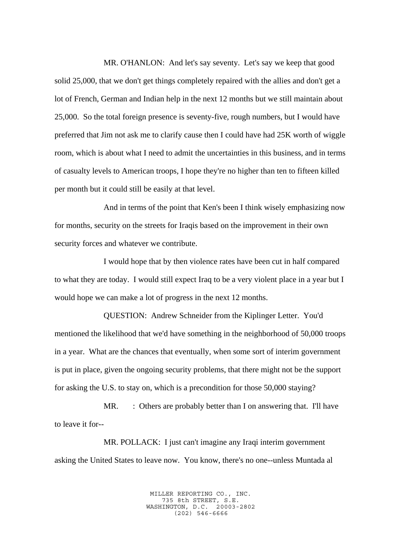MR. O'HANLON: And let's say seventy. Let's say we keep that good solid 25,000, that we don't get things completely repaired with the allies and don't get a lot of French, German and Indian help in the next 12 months but we still maintain about 25,000. So the total foreign presence is seventy-five, rough numbers, but I would have preferred that Jim not ask me to clarify cause then I could have had 25K worth of wiggle room, which is about what I need to admit the uncertainties in this business, and in terms of casualty levels to American troops, I hope they're no higher than ten to fifteen killed per month but it could still be easily at that level.

And in terms of the point that Ken's been I think wisely emphasizing now for months, security on the streets for Iraqis based on the improvement in their own security forces and whatever we contribute.

I would hope that by then violence rates have been cut in half compared to what they are today. I would still expect Iraq to be a very violent place in a year but I would hope we can make a lot of progress in the next 12 months.

QUESTION: Andrew Schneider from the Kiplinger Letter. You'd mentioned the likelihood that we'd have something in the neighborhood of 50,000 troops in a year. What are the chances that eventually, when some sort of interim government is put in place, given the ongoing security problems, that there might not be the support for asking the U.S. to stay on, which is a precondition for those 50,000 staying?

MR. : Others are probably better than I on answering that. I'll have to leave it for--

MR. POLLACK: I just can't imagine any Iraqi interim government asking the United States to leave now. You know, there's no one--unless Muntada al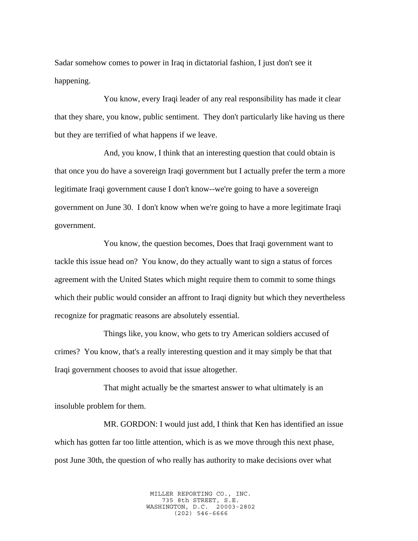Sadar somehow comes to power in Iraq in dictatorial fashion, I just don't see it happening.

You know, every Iraqi leader of any real responsibility has made it clear that they share, you know, public sentiment. They don't particularly like having us there but they are terrified of what happens if we leave.

And, you know, I think that an interesting question that could obtain is that once you do have a sovereign Iraqi government but I actually prefer the term a more legitimate Iraqi government cause I don't know--we're going to have a sovereign government on June 30. I don't know when we're going to have a more legitimate Iraqi government.

You know, the question becomes, Does that Iraqi government want to tackle this issue head on? You know, do they actually want to sign a status of forces agreement with the United States which might require them to commit to some things which their public would consider an affront to Iraqi dignity but which they nevertheless recognize for pragmatic reasons are absolutely essential.

Things like, you know, who gets to try American soldiers accused of crimes? You know, that's a really interesting question and it may simply be that that Iraqi government chooses to avoid that issue altogether.

That might actually be the smartest answer to what ultimately is an insoluble problem for them.

MR. GORDON: I would just add, I think that Ken has identified an issue which has gotten far too little attention, which is as we move through this next phase, post June 30th, the question of who really has authority to make decisions over what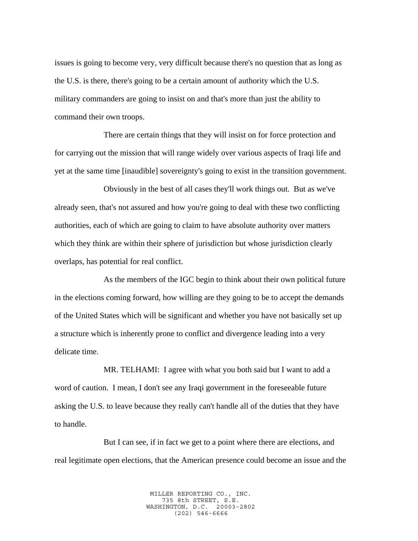issues is going to become very, very difficult because there's no question that as long as the U.S. is there, there's going to be a certain amount of authority which the U.S. military commanders are going to insist on and that's more than just the ability to command their own troops.

There are certain things that they will insist on for force protection and for carrying out the mission that will range widely over various aspects of Iraqi life and yet at the same time [inaudible] sovereignty's going to exist in the transition government.

Obviously in the best of all cases they'll work things out. But as we've already seen, that's not assured and how you're going to deal with these two conflicting authorities, each of which are going to claim to have absolute authority over matters which they think are within their sphere of jurisdiction but whose jurisdiction clearly overlaps, has potential for real conflict.

As the members of the IGC begin to think about their own political future in the elections coming forward, how willing are they going to be to accept the demands of the United States which will be significant and whether you have not basically set up a structure which is inherently prone to conflict and divergence leading into a very delicate time.

MR. TELHAMI: I agree with what you both said but I want to add a word of caution. I mean, I don't see any Iraqi government in the foreseeable future asking the U.S. to leave because they really can't handle all of the duties that they have to handle.

But I can see, if in fact we get to a point where there are elections, and real legitimate open elections, that the American presence could become an issue and the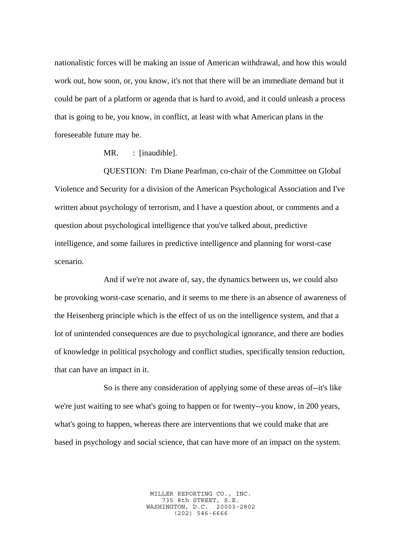nationalistic forces will be making an issue of American withdrawal, and how this would work out, how soon, or, you know, it's not that there will be an immediate demand but it could be part of a platform or agenda that is hard to avoid, and it could unleash a process that is going to be, you know, in conflict, at least with what American plans in the foreseeable future may be.

MR. : [inaudible].

QUESTION: I'm Diane Pearlman, co-chair of the Committee on Global Violence and Security for a division of the American Psychological Association and I've written about psychology of terrorism, and I have a question about, or comments and a question about psychological intelligence that you've talked about, predictive intelligence, and some failures in predictive intelligence and planning for worst-case scenario.

And if we're not aware of, say, the dynamics between us, we could also be provoking worst-case scenario, and it seems to me there is an absence of awareness of the Heisenberg principle which is the effect of us on the intelligence system, and that a lot of unintended consequences are due to psychological ignorance, and there are bodies of knowledge in political psychology and conflict studies, specifically tension reduction, that can have an impact in it.

So is there any consideration of applying some of these areas of--it's like we're just waiting to see what's going to happen or for twenty--you know, in 200 years, what's going to happen, whereas there are interventions that we could make that are based in psychology and social science, that can have more of an impact on the system.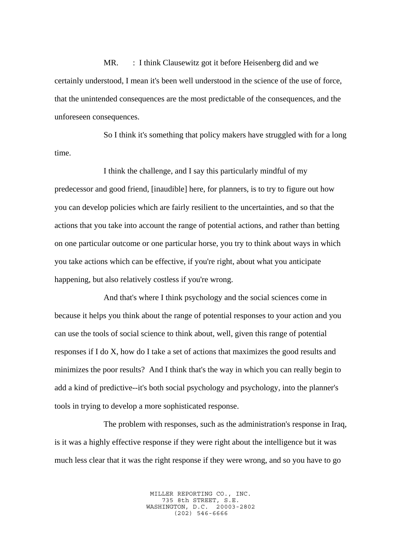MR. : I think Clausewitz got it before Heisenberg did and we certainly understood, I mean it's been well understood in the science of the use of force, that the unintended consequences are the most predictable of the consequences, and the unforeseen consequences.

So I think it's something that policy makers have struggled with for a long time.

I think the challenge, and I say this particularly mindful of my predecessor and good friend, [inaudible] here, for planners, is to try to figure out how you can develop policies which are fairly resilient to the uncertainties, and so that the actions that you take into account the range of potential actions, and rather than betting on one particular outcome or one particular horse, you try to think about ways in which you take actions which can be effective, if you're right, about what you anticipate happening, but also relatively costless if you're wrong.

And that's where I think psychology and the social sciences come in because it helps you think about the range of potential responses to your action and you can use the tools of social science to think about, well, given this range of potential responses if I do X, how do I take a set of actions that maximizes the good results and minimizes the poor results? And I think that's the way in which you can really begin to add a kind of predictive--it's both social psychology and psychology, into the planner's tools in trying to develop a more sophisticated response.

The problem with responses, such as the administration's response in Iraq, is it was a highly effective response if they were right about the intelligence but it was much less clear that it was the right response if they were wrong, and so you have to go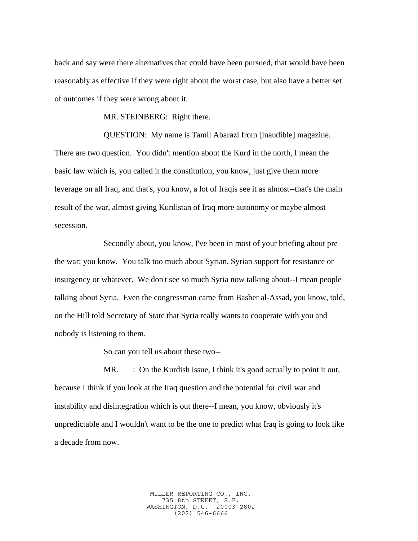back and say were there alternatives that could have been pursued, that would have been reasonably as effective if they were right about the worst case, but also have a better set of outcomes if they were wrong about it.

MR. STEINBERG: Right there.

QUESTION: My name is Tamil Abarazi from [inaudible] magazine. There are two question. You didn't mention about the Kurd in the north, I mean the basic law which is, you called it the constitution, you know, just give them more leverage on all Iraq, and that's, you know, a lot of Iraqis see it as almost--that's the main result of the war, almost giving Kurdistan of Iraq more autonomy or maybe almost secession.

Secondly about, you know, I've been in most of your briefing about pre the war; you know. You talk too much about Syrian, Syrian support for resistance or insurgency or whatever. We don't see so much Syria now talking about--I mean people talking about Syria. Even the congressman came from Basher al-Assad, you know, told, on the Hill told Secretary of State that Syria really wants to cooperate with you and nobody is listening to them.

So can you tell us about these two--

MR. : On the Kurdish issue, I think it's good actually to point it out, because I think if you look at the Iraq question and the potential for civil war and instability and disintegration which is out there--I mean, you know, obviously it's unpredictable and I wouldn't want to be the one to predict what Iraq is going to look like a decade from now.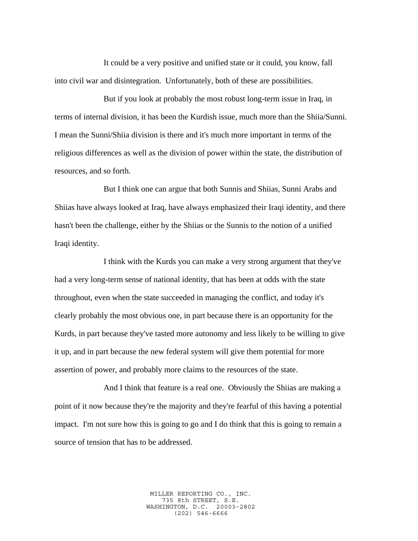It could be a very positive and unified state or it could, you know, fall into civil war and disintegration. Unfortunately, both of these are possibilities.

But if you look at probably the most robust long-term issue in Iraq, in terms of internal division, it has been the Kurdish issue, much more than the Shiia/Sunni. I mean the Sunni/Shiia division is there and it's much more important in terms of the religious differences as well as the division of power within the state, the distribution of resources, and so forth.

But I think one can argue that both Sunnis and Shiias, Sunni Arabs and Shiias have always looked at Iraq, have always emphasized their Iraqi identity, and there hasn't been the challenge, either by the Shiias or the Sunnis to the notion of a unified Iraqi identity.

I think with the Kurds you can make a very strong argument that they've had a very long-term sense of national identity, that has been at odds with the state throughout, even when the state succeeded in managing the conflict, and today it's clearly probably the most obvious one, in part because there is an opportunity for the Kurds, in part because they've tasted more autonomy and less likely to be willing to give it up, and in part because the new federal system will give them potential for more assertion of power, and probably more claims to the resources of the state.

And I think that feature is a real one. Obviously the Shiias are making a point of it now because they're the majority and they're fearful of this having a potential impact. I'm not sure how this is going to go and I do think that this is going to remain a source of tension that has to be addressed.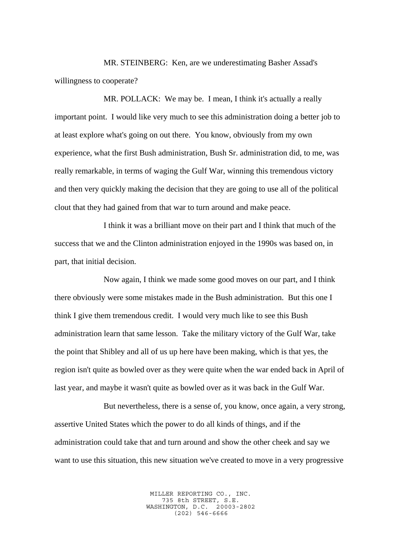MR. STEINBERG: Ken, are we underestimating Basher Assad's willingness to cooperate?

MR. POLLACK: We may be. I mean, I think it's actually a really important point. I would like very much to see this administration doing a better job to at least explore what's going on out there. You know, obviously from my own experience, what the first Bush administration, Bush Sr. administration did, to me, was really remarkable, in terms of waging the Gulf War, winning this tremendous victory and then very quickly making the decision that they are going to use all of the political clout that they had gained from that war to turn around and make peace.

I think it was a brilliant move on their part and I think that much of the success that we and the Clinton administration enjoyed in the 1990s was based on, in part, that initial decision.

Now again, I think we made some good moves on our part, and I think there obviously were some mistakes made in the Bush administration. But this one I think I give them tremendous credit. I would very much like to see this Bush administration learn that same lesson. Take the military victory of the Gulf War, take the point that Shibley and all of us up here have been making, which is that yes, the region isn't quite as bowled over as they were quite when the war ended back in April of last year, and maybe it wasn't quite as bowled over as it was back in the Gulf War.

But nevertheless, there is a sense of, you know, once again, a very strong, assertive United States which the power to do all kinds of things, and if the administration could take that and turn around and show the other cheek and say we want to use this situation, this new situation we've created to move in a very progressive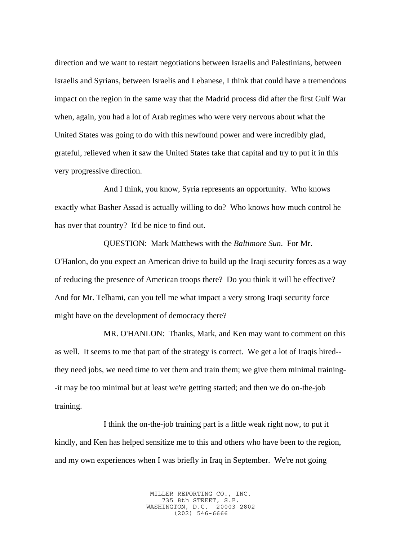direction and we want to restart negotiations between Israelis and Palestinians, between Israelis and Syrians, between Israelis and Lebanese, I think that could have a tremendous impact on the region in the same way that the Madrid process did after the first Gulf War when, again, you had a lot of Arab regimes who were very nervous about what the United States was going to do with this newfound power and were incredibly glad, grateful, relieved when it saw the United States take that capital and try to put it in this very progressive direction.

And I think, you know, Syria represents an opportunity. Who knows exactly what Basher Assad is actually willing to do? Who knows how much control he has over that country? It'd be nice to find out.

QUESTION: Mark Matthews with the *Baltimore Sun*. For Mr. O'Hanlon, do you expect an American drive to build up the Iraqi security forces as a way of reducing the presence of American troops there? Do you think it will be effective? And for Mr. Telhami, can you tell me what impact a very strong Iraqi security force might have on the development of democracy there?

MR. O'HANLON: Thanks, Mark, and Ken may want to comment on this as well. It seems to me that part of the strategy is correct. We get a lot of Iraqis hired- they need jobs, we need time to vet them and train them; we give them minimal training- -it may be too minimal but at least we're getting started; and then we do on-the-job training.

I think the on-the-job training part is a little weak right now, to put it kindly, and Ken has helped sensitize me to this and others who have been to the region, and my own experiences when I was briefly in Iraq in September. We're not going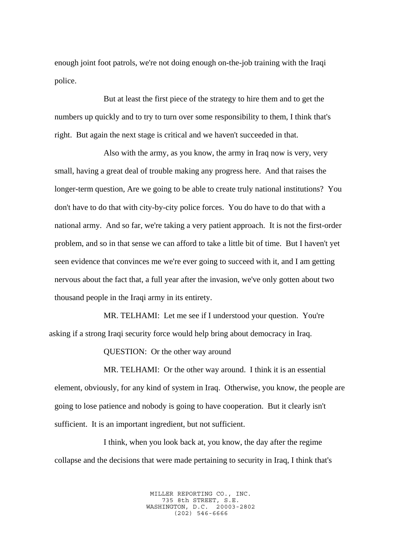enough joint foot patrols, we're not doing enough on-the-job training with the Iraqi police.

But at least the first piece of the strategy to hire them and to get the numbers up quickly and to try to turn over some responsibility to them, I think that's right. But again the next stage is critical and we haven't succeeded in that.

Also with the army, as you know, the army in Iraq now is very, very small, having a great deal of trouble making any progress here. And that raises the longer-term question, Are we going to be able to create truly national institutions? You don't have to do that with city-by-city police forces. You do have to do that with a national army. And so far, we're taking a very patient approach. It is not the first-order problem, and so in that sense we can afford to take a little bit of time. But I haven't yet seen evidence that convinces me we're ever going to succeed with it, and I am getting nervous about the fact that, a full year after the invasion, we've only gotten about two thousand people in the Iraqi army in its entirety.

MR. TELHAMI: Let me see if I understood your question. You're asking if a strong Iraqi security force would help bring about democracy in Iraq.

QUESTION: Or the other way around

MR. TELHAMI: Or the other way around. I think it is an essential element, obviously, for any kind of system in Iraq. Otherwise, you know, the people are going to lose patience and nobody is going to have cooperation. But it clearly isn't sufficient. It is an important ingredient, but not sufficient.

I think, when you look back at, you know, the day after the regime collapse and the decisions that were made pertaining to security in Iraq, I think that's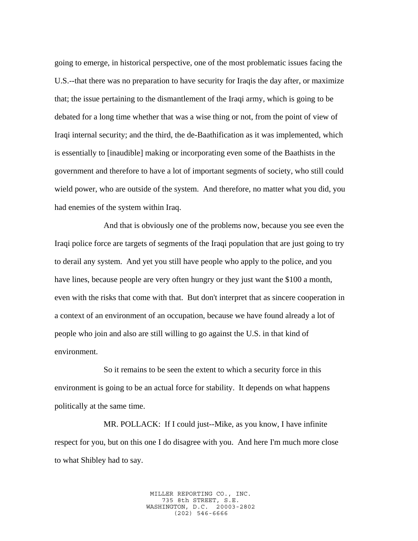going to emerge, in historical perspective, one of the most problematic issues facing the U.S.--that there was no preparation to have security for Iraqis the day after, or maximize that; the issue pertaining to the dismantlement of the Iraqi army, which is going to be debated for a long time whether that was a wise thing or not, from the point of view of Iraqi internal security; and the third, the de-Baathification as it was implemented, which is essentially to [inaudible] making or incorporating even some of the Baathists in the government and therefore to have a lot of important segments of society, who still could wield power, who are outside of the system. And therefore, no matter what you did, you had enemies of the system within Iraq.

And that is obviously one of the problems now, because you see even the Iraqi police force are targets of segments of the Iraqi population that are just going to try to derail any system. And yet you still have people who apply to the police, and you have lines, because people are very often hungry or they just want the \$100 a month, even with the risks that come with that. But don't interpret that as sincere cooperation in a context of an environment of an occupation, because we have found already a lot of people who join and also are still willing to go against the U.S. in that kind of environment.

So it remains to be seen the extent to which a security force in this environment is going to be an actual force for stability. It depends on what happens politically at the same time.

MR. POLLACK: If I could just--Mike, as you know, I have infinite respect for you, but on this one I do disagree with you. And here I'm much more close to what Shibley had to say.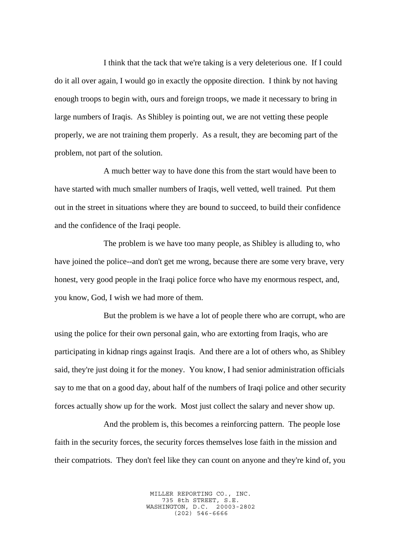I think that the tack that we're taking is a very deleterious one. If I could do it all over again, I would go in exactly the opposite direction. I think by not having enough troops to begin with, ours and foreign troops, we made it necessary to bring in large numbers of Iraqis. As Shibley is pointing out, we are not vetting these people properly, we are not training them properly. As a result, they are becoming part of the problem, not part of the solution.

A much better way to have done this from the start would have been to have started with much smaller numbers of Iraqis, well vetted, well trained. Put them out in the street in situations where they are bound to succeed, to build their confidence and the confidence of the Iraqi people.

The problem is we have too many people, as Shibley is alluding to, who have joined the police--and don't get me wrong, because there are some very brave, very honest, very good people in the Iraqi police force who have my enormous respect, and, you know, God, I wish we had more of them.

But the problem is we have a lot of people there who are corrupt, who are using the police for their own personal gain, who are extorting from Iraqis, who are participating in kidnap rings against Iraqis. And there are a lot of others who, as Shibley said, they're just doing it for the money. You know, I had senior administration officials say to me that on a good day, about half of the numbers of Iraqi police and other security forces actually show up for the work. Most just collect the salary and never show up.

And the problem is, this becomes a reinforcing pattern. The people lose faith in the security forces, the security forces themselves lose faith in the mission and their compatriots. They don't feel like they can count on anyone and they're kind of, you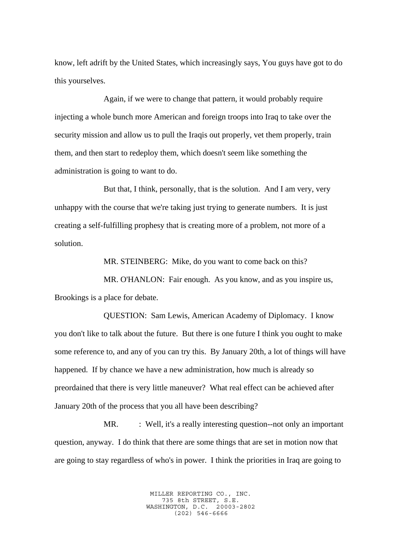know, left adrift by the United States, which increasingly says, You guys have got to do this yourselves.

Again, if we were to change that pattern, it would probably require injecting a whole bunch more American and foreign troops into Iraq to take over the security mission and allow us to pull the Iraqis out properly, vet them properly, train them, and then start to redeploy them, which doesn't seem like something the administration is going to want to do.

But that, I think, personally, that is the solution. And I am very, very unhappy with the course that we're taking just trying to generate numbers. It is just creating a self-fulfilling prophesy that is creating more of a problem, not more of a solution.

MR. STEINBERG: Mike, do you want to come back on this?

MR. O'HANLON: Fair enough. As you know, and as you inspire us, Brookings is a place for debate.

QUESTION: Sam Lewis, American Academy of Diplomacy. I know you don't like to talk about the future. But there is one future I think you ought to make some reference to, and any of you can try this. By January 20th, a lot of things will have happened. If by chance we have a new administration, how much is already so preordained that there is very little maneuver? What real effect can be achieved after January 20th of the process that you all have been describing?

MR. : Well, it's a really interesting question--not only an important question, anyway. I do think that there are some things that are set in motion now that are going to stay regardless of who's in power. I think the priorities in Iraq are going to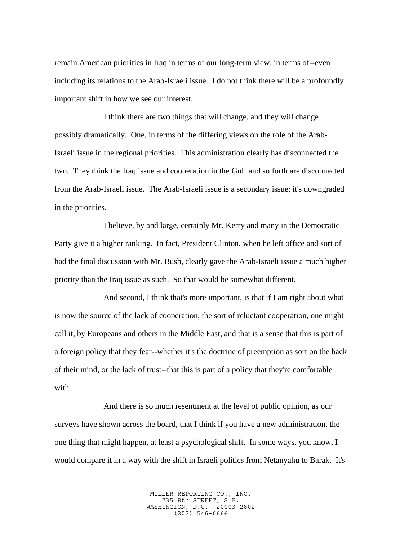remain American priorities in Iraq in terms of our long-term view, in terms of--even including its relations to the Arab-Israeli issue. I do not think there will be a profoundly important shift in how we see our interest.

I think there are two things that will change, and they will change possibly dramatically. One, in terms of the differing views on the role of the Arab-Israeli issue in the regional priorities. This administration clearly has disconnected the two. They think the Iraq issue and cooperation in the Gulf and so forth are disconnected from the Arab-Israeli issue. The Arab-Israeli issue is a secondary issue; it's downgraded in the priorities.

I believe, by and large, certainly Mr. Kerry and many in the Democratic Party give it a higher ranking. In fact, President Clinton, when he left office and sort of had the final discussion with Mr. Bush, clearly gave the Arab-Israeli issue a much higher priority than the Iraq issue as such. So that would be somewhat different.

And second, I think that's more important, is that if I am right about what is now the source of the lack of cooperation, the sort of reluctant cooperation, one might call it, by Europeans and others in the Middle East, and that is a sense that this is part of a foreign policy that they fear--whether it's the doctrine of preemption as sort on the back of their mind, or the lack of trust--that this is part of a policy that they're comfortable with.

And there is so much resentment at the level of public opinion, as our surveys have shown across the board, that I think if you have a new administration, the one thing that might happen, at least a psychological shift. In some ways, you know, I would compare it in a way with the shift in Israeli politics from Netanyahu to Barak. It's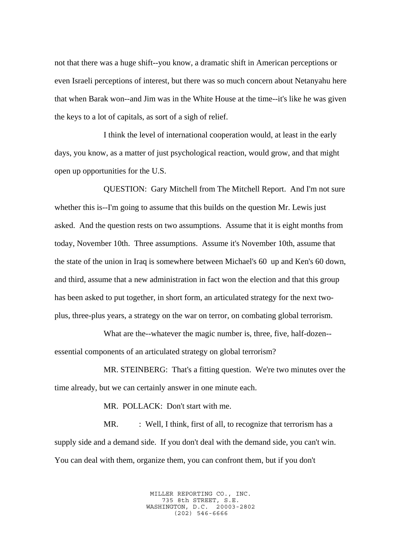not that there was a huge shift--you know, a dramatic shift in American perceptions or even Israeli perceptions of interest, but there was so much concern about Netanyahu here that when Barak won--and Jim was in the White House at the time--it's like he was given the keys to a lot of capitals, as sort of a sigh of relief.

I think the level of international cooperation would, at least in the early days, you know, as a matter of just psychological reaction, would grow, and that might open up opportunities for the U.S.

QUESTION: Gary Mitchell from The Mitchell Report. And I'm not sure whether this is--I'm going to assume that this builds on the question Mr. Lewis just asked. And the question rests on two assumptions. Assume that it is eight months from today, November 10th. Three assumptions. Assume it's November 10th, assume that the state of the union in Iraq is somewhere between Michael's 60 up and Ken's 60 down, and third, assume that a new administration in fact won the election and that this group has been asked to put together, in short form, an articulated strategy for the next twoplus, three-plus years, a strategy on the war on terror, on combating global terrorism.

What are the--whatever the magic number is, three, five, half-dozen- essential components of an articulated strategy on global terrorism?

MR. STEINBERG: That's a fitting question. We're two minutes over the time already, but we can certainly answer in one minute each.

MR. POLLACK: Don't start with me.

MR. : Well, I think, first of all, to recognize that terrorism has a supply side and a demand side. If you don't deal with the demand side, you can't win. You can deal with them, organize them, you can confront them, but if you don't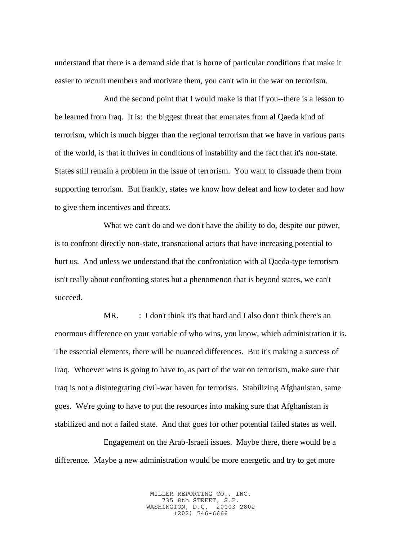understand that there is a demand side that is borne of particular conditions that make it easier to recruit members and motivate them, you can't win in the war on terrorism.

And the second point that I would make is that if you--there is a lesson to be learned from Iraq. It is: the biggest threat that emanates from al Qaeda kind of terrorism, which is much bigger than the regional terrorism that we have in various parts of the world, is that it thrives in conditions of instability and the fact that it's non-state. States still remain a problem in the issue of terrorism. You want to dissuade them from supporting terrorism. But frankly, states we know how defeat and how to deter and how to give them incentives and threats.

What we can't do and we don't have the ability to do, despite our power, is to confront directly non-state, transnational actors that have increasing potential to hurt us. And unless we understand that the confrontation with al Qaeda-type terrorism isn't really about confronting states but a phenomenon that is beyond states, we can't succeed.

MR. : I don't think it's that hard and I also don't think there's an enormous difference on your variable of who wins, you know, which administration it is. The essential elements, there will be nuanced differences. But it's making a success of Iraq. Whoever wins is going to have to, as part of the war on terrorism, make sure that Iraq is not a disintegrating civil-war haven for terrorists. Stabilizing Afghanistan, same goes. We're going to have to put the resources into making sure that Afghanistan is stabilized and not a failed state. And that goes for other potential failed states as well.

Engagement on the Arab-Israeli issues. Maybe there, there would be a difference. Maybe a new administration would be more energetic and try to get more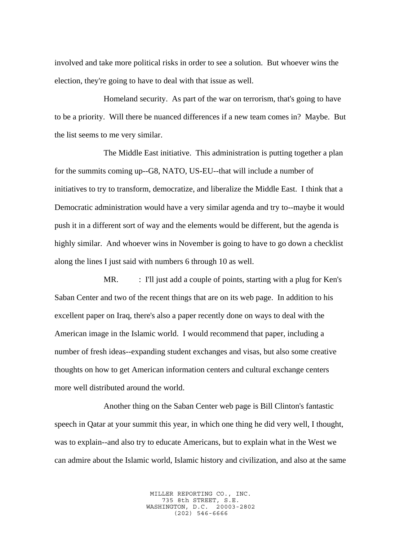involved and take more political risks in order to see a solution. But whoever wins the election, they're going to have to deal with that issue as well.

Homeland security. As part of the war on terrorism, that's going to have to be a priority. Will there be nuanced differences if a new team comes in? Maybe. But the list seems to me very similar.

The Middle East initiative. This administration is putting together a plan for the summits coming up--G8, NATO, US-EU--that will include a number of initiatives to try to transform, democratize, and liberalize the Middle East. I think that a Democratic administration would have a very similar agenda and try to--maybe it would push it in a different sort of way and the elements would be different, but the agenda is highly similar. And whoever wins in November is going to have to go down a checklist along the lines I just said with numbers 6 through 10 as well.

MR. : I'll just add a couple of points, starting with a plug for Ken's Saban Center and two of the recent things that are on its web page. In addition to his excellent paper on Iraq, there's also a paper recently done on ways to deal with the American image in the Islamic world. I would recommend that paper, including a number of fresh ideas--expanding student exchanges and visas, but also some creative thoughts on how to get American information centers and cultural exchange centers more well distributed around the world.

Another thing on the Saban Center web page is Bill Clinton's fantastic speech in Qatar at your summit this year, in which one thing he did very well, I thought, was to explain--and also try to educate Americans, but to explain what in the West we can admire about the Islamic world, Islamic history and civilization, and also at the same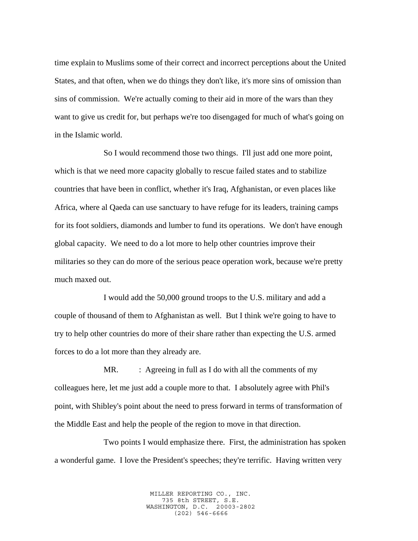time explain to Muslims some of their correct and incorrect perceptions about the United States, and that often, when we do things they don't like, it's more sins of omission than sins of commission. We're actually coming to their aid in more of the wars than they want to give us credit for, but perhaps we're too disengaged for much of what's going on in the Islamic world.

So I would recommend those two things. I'll just add one more point, which is that we need more capacity globally to rescue failed states and to stabilize countries that have been in conflict, whether it's Iraq, Afghanistan, or even places like Africa, where al Qaeda can use sanctuary to have refuge for its leaders, training camps for its foot soldiers, diamonds and lumber to fund its operations. We don't have enough global capacity. We need to do a lot more to help other countries improve their militaries so they can do more of the serious peace operation work, because we're pretty much maxed out.

I would add the 50,000 ground troops to the U.S. military and add a couple of thousand of them to Afghanistan as well. But I think we're going to have to try to help other countries do more of their share rather than expecting the U.S. armed forces to do a lot more than they already are.

MR. : Agreeing in full as I do with all the comments of my colleagues here, let me just add a couple more to that. I absolutely agree with Phil's point, with Shibley's point about the need to press forward in terms of transformation of the Middle East and help the people of the region to move in that direction.

Two points I would emphasize there. First, the administration has spoken a wonderful game. I love the President's speeches; they're terrific. Having written very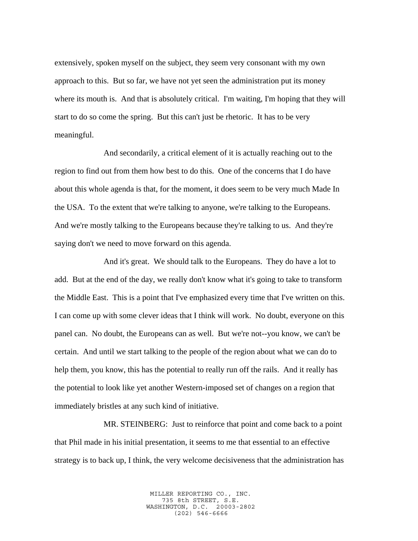extensively, spoken myself on the subject, they seem very consonant with my own approach to this. But so far, we have not yet seen the administration put its money where its mouth is. And that is absolutely critical. I'm waiting, I'm hoping that they will start to do so come the spring. But this can't just be rhetoric. It has to be very meaningful.

And secondarily, a critical element of it is actually reaching out to the region to find out from them how best to do this. One of the concerns that I do have about this whole agenda is that, for the moment, it does seem to be very much Made In the USA. To the extent that we're talking to anyone, we're talking to the Europeans. And we're mostly talking to the Europeans because they're talking to us. And they're saying don't we need to move forward on this agenda.

And it's great. We should talk to the Europeans. They do have a lot to add. But at the end of the day, we really don't know what it's going to take to transform the Middle East. This is a point that I've emphasized every time that I've written on this. I can come up with some clever ideas that I think will work. No doubt, everyone on this panel can. No doubt, the Europeans can as well. But we're not--you know, we can't be certain. And until we start talking to the people of the region about what we can do to help them, you know, this has the potential to really run off the rails. And it really has the potential to look like yet another Western-imposed set of changes on a region that immediately bristles at any such kind of initiative.

MR. STEINBERG: Just to reinforce that point and come back to a point that Phil made in his initial presentation, it seems to me that essential to an effective strategy is to back up, I think, the very welcome decisiveness that the administration has